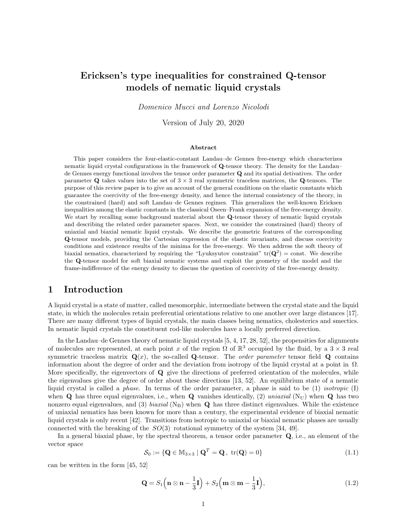# Ericksen's type inequalities for constrained Q-tensor models of nematic liquid crystals

Domenico Mucci and Lorenzo Nicolodi

Version of July 20, 2020

#### Abstract

This paper considers the four-elastic-constant Landau–de Gennes free-energy which characterizes nematic liquid crystal configurations in the framework of Q-tensor theory. The density for the Landau– de Gennes energy functional involves the tensor order parameter Q and its spatial detivatives. The order parameter Q takes values into the set of  $3 \times 3$  real symmetric traceless matrices, the Q-tensors. The purpose of this review paper is to give an account of the general conditions on the elastic constants which guarantee the coercivity of the free-energy density, and hence the internal consistency of the theory, in the constrained (hard) and soft Landau–de Gennes regimes. This generalizes the well-known Ericksen inequalities among the elastic constants in the classical Oseen–Frank expansion of the free-energy density. We start by recalling some background material about the Q-tensor theory of nematic liquid crystals and describing the related order parameter spaces. Next, we consider the constrained (hard) theory of uniaxial and biaxial nematic liquid crystals. We describe the geometric features of the corresponding Q-tensor models, providing the Cartesian expression of the elastic invariants, and discuss coercivity conditions and existence results of the minima for the free-energy. We then address the soft theory of biaxial nematics, characterized by requiring the "Lyuksyutov constraint"  $tr(Q^2) = const$ . We describe the Q-tensor model for soft biaxial nematic systems and exploit the geometry of the model and the frame-indifference of the energy density to discuss the question of coercivity of the free-energy density.

## 1 Introduction

A liquid crystal is a state of matter, called mesomorphic, intermediate between the crystal state and the liquid state, in which the molecules retain preferential orientations relative to one another over large distances [17]. There are many different types of liquid crystals, the main classes being nematics, cholesterics and smectics. In nematic liquid crystals the constituent rod-like molecules have a locally preferred direction.

In the Landau–de Gennes theory of nematic liquid crystals [5, 4, 17, 28, 52], the propensities for alignments of molecules are represented, at each point x of the region  $\Omega$  of  $\mathbb{R}^3$  occupied by the fluid, by a  $3 \times 3$  real symmetric traceless matrix  $\mathbf{Q}(x)$ , the so-called Q-tensor. The *order parameter* tensor field Q contains information about the degree of order and the deviation from isotropy of the liquid crystal at a point in  $\Omega$ . More specifically, the eigenvectors of Q give the directions of preferred orientation of the molecules, while the eigenvalues give the degree of order about these directions [13, 52]. An equilibrium state of a nematic liquid crystal is called a phase. In terms of the order parameter, a phase is said to be (1) isotropic (I) when  $\bf{Q}$  has three equal eigenvalues, i.e., when  $\bf{Q}$  vanishes identically, (2) uniaxial (N<sub>U</sub>) when  $\bf{Q}$  has two nonzero equal eigenvalues, and (3) biaxial ( $N_B$ ) when  $\bf{Q}$  has three distinct eigenvalues. While the existence of uniaxial nematics has been known for more than a century, the experimental evidence of biaxial nematic liquid crystals is only recent [42]. Transitions from isotropic to uniaxial or biaxial nematic phases are usually connected with the breaking of the  $SO(3)$  rotational symmetry of the system [34, 49].

In a general biaxial phase, by the spectral theorem, a tensor order parameter Q, i.e., an element of the vector space

$$
\mathcal{S}_0 := \{ \mathbf{Q} \in \mathbb{M}_{3 \times 3} \mid \mathbf{Q}^T = \mathbf{Q}, \text{ tr}(\mathbf{Q}) = 0 \}
$$
\n(1.1)

can be written in the form [45, 52]

$$
\mathbf{Q} = S_1 \left( \mathbf{n} \otimes \mathbf{n} - \frac{1}{3} \mathbf{I} \right) + S_2 \left( \mathbf{m} \otimes \mathbf{m} - \frac{1}{3} \mathbf{I} \right), \tag{1.2}
$$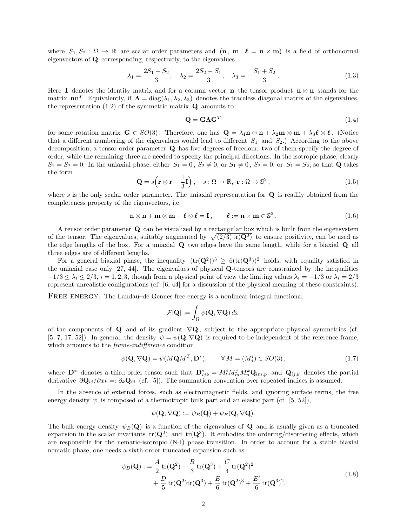where  $S_1, S_2 : \Omega \to \mathbb{R}$  are scalar order parameters and  $(\mathbf{n}, \mathbf{m}, \ell = \mathbf{n} \times \mathbf{m})$  is a field of orthonormal eigenvectors of Q corresponding, respectively, to the eigenvalues

$$
\lambda_1 = \frac{2S_1 - S_2}{3}, \quad \lambda_2 = \frac{2S_2 - S_1}{3}, \quad \lambda_3 = -\frac{S_1 + S_2}{3}.
$$
\n(1.3)

Here I denotes the identity matrix and for a column vector **n** the tensor product  $\mathbf{n} \otimes \mathbf{n}$  stands for the matrix  $\mathbf{n}\mathbf{n}^T$ . Equivalently, if  $\mathbf{\Lambda} = \text{diag}(\lambda_1, \lambda_2, \lambda_3)$  denotes the traceless diagonal matrix of the eigenvalues, the representation  $(1.2)$  of the symmetric matrix  $\mathbf Q$  amounts to

$$
\mathbf{Q} = \mathbf{G}\Lambda\mathbf{G}^T \tag{1.4}
$$

for some rotation matrix  $\mathbf{G} \in SO(3)$ . Therefore, one has  $\mathbf{Q} = \lambda_1 \mathbf{n} \otimes \mathbf{n} + \lambda_2 \mathbf{m} \otimes \mathbf{m} + \lambda_3 \ell \otimes \ell$ . (Notice that a different numbering of the eigenvalues would lead to different  $S_1$  and  $S_2$ .) According to the above decomposition, a tensor order parameter Q has five degrees of freedom: two of them specify the degree of order, while the remaining three are needed to specify the principal directions. In the isotropic phase, clearly  $S_1 = S_2 = 0$ . In the uniaxial phase, either  $S_1 = 0$ ,  $S_2 \neq 0$ , or  $S_1 \neq 0$ ,  $S_2 = 0$ , or  $S_1 = S_2$ , so that **Q** takes the form

$$
\mathbf{Q} = s \left( \mathbf{r} \otimes \mathbf{r} - \frac{1}{3} \mathbf{I} \right), \quad s : \Omega \to \mathbb{R}, \ \mathbf{r} : \Omega \to \mathbb{S}^2,
$$
 (1.5)

where s is the only scalar order parameter. The uniaxial representation for  $Q$  is readily obtained from the completeness property of the eigenvectors, i.e.

$$
\mathbf{n} \otimes \mathbf{n} + \mathbf{m} \otimes \mathbf{m} + \boldsymbol{\ell} \otimes \boldsymbol{\ell} = \mathbf{I}, \qquad \boldsymbol{\ell} := \mathbf{n} \times \mathbf{m} \in \mathbb{S}^2. \tag{1.6}
$$

A tensor order parameter Q can be visualized by a rectangular box which is built from the eigensystem of the tensor. The eigenvalues, suitably augmented by  $\sqrt{(2/3) \text{tr}(\mathbf{Q}^2)}$  to ensure positivity, can be used as the edge lengths of the box. For a uniaxial Q two edges have the same length, while for a biaxial Q all three edges are of different lengths.

For a general biaxial phase, the inequality  $(tr(Q^2))^3 \geq 6(tr(Q^3))^2$  holds, with equality satisfied in the uniaxial case only [27, 44]. The eigenvalues of physical Q-tensors are constrained by the inequalities  $-1/3 \leq \lambda_i \leq 2/3$ ,  $i = 1, 2, 3$ , though from a physical point of view the limiting values  $\lambda_i = -1/3$  or  $\lambda_i = 2/3$ represent unrealistic configurations (cf. [6, 44] for a discussion of the physical meaning of these constraints).

FREE ENERGY. The Landau–de Gennes free-energy is a nonlinear integral functional

$$
\mathcal{F}[\mathbf{Q}] := \int_{\Omega} \psi(\mathbf{Q}, \nabla \mathbf{Q}) \, dx
$$

of the components of  $\bf Q$  and of its gradient  $\nabla {\bf Q}$ , subject to the appropriate physical symmetries (cf. [5, 7, 17, 52]). In general, the density  $\psi = \psi(\mathbf{Q}, \nabla \mathbf{Q})$  is required to be independent of the reference frame, which amounts to the *frame-indifference* condition

$$
\psi(\mathbf{Q}, \nabla \mathbf{Q}) = \psi(M\mathbf{Q}M^T, \mathbf{D}^*), \qquad \forall M = (M_j^i) \in SO(3), \tag{1.7}
$$

where  $\mathbf{D}^*$  denotes a third order tensor such that  $\mathbf{D}_{ijk}^* = M_l^i M_m^j M_p^k \mathbf{Q}_{lm,p}$ , and  $\mathbf{Q}_{ij,k}$  denotes the partial derivative  $\partial \mathbf{Q}_{ij}/\partial x_k =: \partial_k \mathbf{Q}_{ij}$  (cf. [5]). The summation convention over repeated indices is assumed.

In the absence of external forces, such as electromagnetic fields, and ignoring surface terms, the free energy density  $\psi$  is composed of a thermotropic bulk part and an elastic part (cf. [5, 52]),

$$
\psi(\mathbf{Q}, \nabla \mathbf{Q}) := \psi_B(\mathbf{Q}) + \psi_E(\mathbf{Q}, \nabla \mathbf{Q}).
$$

The bulk energy density  $\psi_B(\mathbf{Q})$  is a function of the eigenvalues of  $\mathbf Q$  and is usually given as a truncated expansion in the scalar invariants  $tr(Q^2)$  and  $tr(Q^3)$ . It embodies the ordering/disordering effects, which are responsible for the nematic-isotropic (N-I) phase transition. In order to account for a stable biaxial nematic phase, one needs a sixth order truncated expansion such as

$$
\psi_B(\mathbf{Q}) := \frac{A}{2} tr(\mathbf{Q}^2) - \frac{B}{3} tr(\mathbf{Q}^3) + \frac{C}{4} tr(\mathbf{Q}^2)^2 + \frac{D}{5} tr(\mathbf{Q}^2) tr(\mathbf{Q}^3) + \frac{E}{6} tr(\mathbf{Q}^2)^3 + \frac{E'}{6} tr(\mathbf{Q}^3)^2,
$$
\n(1.8)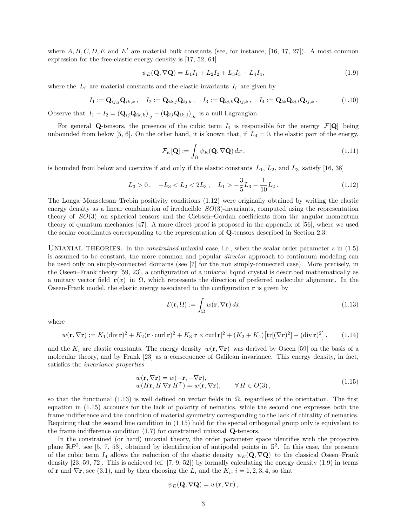where  $A, B, C, D, E$  and  $E'$  are material bulk constants (see, for instance, [16, 17, 27]). A most common expression for the free-elastic energy density is [17, 52, 64]

$$
\psi_E(\mathbf{Q}, \nabla \mathbf{Q}) = L_1 I_1 + L_2 I_2 + L_3 I_3 + L_4 I_4,\tag{1.9}
$$

where the  $L_i$  are material constants and the elastic invariants  $I_i$  are given by

$$
I_1 := \mathbf{Q}_{ij,j} \mathbf{Q}_{ik,k}, \quad I_2 := \mathbf{Q}_{ik,j} \mathbf{Q}_{ij,k}, \quad I_3 := \mathbf{Q}_{ij,k} \mathbf{Q}_{ij,k}, \quad I_4 := \mathbf{Q}_{lk} \mathbf{Q}_{ij,l} \mathbf{Q}_{ij,k}.
$$
 (1.10)

Observe that  $I_1 - I_2 = (\mathbf{Q}_{ij} \mathbf{Q}_{ik,k})_{,j} - (\mathbf{Q}_{ij} \mathbf{Q}_{ik,j})_{,k}$  is a null Lagrangian.

For general Q-tensors, the presence of the cubic term  $I_4$  is responsible for the energy  $\mathcal{F}[\mathbf{Q}]$  being unbounded from below [5, 6]. On the other hand, it is known that, if  $L_4 = 0$ , the elastic part of the energy,

$$
\mathcal{F}_E[\mathbf{Q}] := \int_{\Omega} \psi_E(\mathbf{Q}, \nabla \mathbf{Q}) \, dx \,, \tag{1.11}
$$

is bounded from below and coercive if and only if the elastic constants  $L_1$ ,  $L_2$ , and  $L_3$  satisfy [16, 38]

$$
L_3 > 0
$$
,  $-L_3 < L_2 < 2L_3$ ,  $L_1 > -\frac{3}{5}L_3 - \frac{1}{10}L_2$ . (1.12)

The Longa–Monselesan–Trebin positivity conditions (1.12) were originally obtained by writing the elastic energy density as a linear combination of irreducible  $SO(3)$ -invariants, computed using the representation theory of SO(3) on spherical tensors and the Clebsch–Gordan coefficients from the angular momentum theory of quantum mechanics [47]. A more direct proof is proposed in the appendix of [56], where we used the scalar coordinates corresponding to the representation of Q-tensors described in Section 2.3.

UNIAXIAL THEORIES. In the *constrained* uniaxial case, i.e., when the scalar order parameter s in  $(1.5)$ is assumed to be constant, the more common and popular director approach to continuum modeling can be used only on simply-connected domains (see [7] for the non simply-connected case). More precisely, in the Oseen–Frank theory [59, 23], a configuration of a uniaxial liquid crystal is described mathematically as a unitary vector field  $\mathbf{r}(x)$  in  $\Omega$ , which represents the direction of preferred molecular alignment. In the Oseen-Frank model, the elastic energy associated to the configuration  $\mathbf r$  is given by

$$
\mathcal{E}(\mathbf{r}, \Omega) := \int_{\Omega} w(\mathbf{r}, \nabla \mathbf{r}) \, dx \tag{1.13}
$$

where

$$
w(\mathbf{r}, \nabla \mathbf{r}) := K_1 (\operatorname{div} \mathbf{r})^2 + K_2 (\mathbf{r} \cdot \operatorname{curl} \mathbf{r})^2 + K_3 |\mathbf{r} \times \operatorname{curl} \mathbf{r}|^2 + (K_2 + K_4) [\operatorname{tr}[(\nabla \mathbf{r})^2] - (\operatorname{div} \mathbf{r})^2], \qquad (1.14)
$$

and the  $K_i$  are elastic constants. The energy density  $w(\mathbf{r}, \nabla \mathbf{r})$  was derived by Oseen [59] on the basis of a molecular theory, and by Frank [23] as a consequence of Galilean invariance. This energy density, in fact, satisfies the invariance properties

$$
w(\mathbf{r}, \nabla \mathbf{r}) = w(-\mathbf{r}, -\nabla \mathbf{r}),
$$
  
\n
$$
w(H\mathbf{r}, H \nabla \mathbf{r} H^T) = w(\mathbf{r}, \nabla \mathbf{r}), \qquad \forall H \in O(3),
$$
\n(1.15)

so that the functional (1.13) is well defined on vector fields in  $\Omega$ , regardless of the orientation. The first equation in (1.15) accounts for the lack of polarity of nematics, while the second one expresses both the frame indifference and the condition of material symmetry corresponding to the lack of chirality of nematics. Requiring that the second line condition in (1.15) hold for the special orthogonal group only is equivalent to the frame indifference condition (1.7) for constrained uniaxial Q-tensors.

In the constrained (or hard) uniaxial theory, the order parameter space identifies with the projective plane  $\mathbb{R}P^2$ , see [5, 7, 53], obtained by identification of antipodal points in  $\mathbb{S}^2$ . In this case, the presence of the cubic term  $I_4$  allows the reduction of the elastic density  $\psi_E(\mathbf{Q}, \nabla \mathbf{Q})$  to the classical Oseen–Frank density  $[23, 59, 72]$ . This is achieved (cf.  $[7, 9, 52]$ ) by formally calculating the energy density  $(1.9)$  in terms of **r** and  $\nabla$ **r**, see (3.1), and by then choosing the  $L_i$  and the  $K_i$ ,  $i = 1, 2, 3, 4$ , so that

$$
\psi_E({\bf Q},\nabla {\bf Q})=w({\bf r},\nabla {\bf r})\,,
$$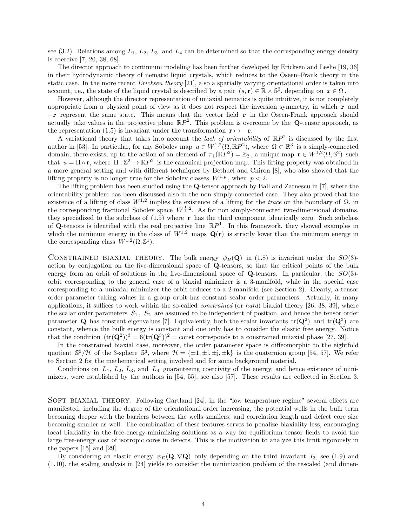see (3.2). Relations among  $L_1$ ,  $L_2$ ,  $L_3$ , and  $L_4$  can be determined so that the corresponding energy density is coercive [7, 20, 38, 68].

The director approach to continuum modeling has been further developed by Ericksen and Leslie [19, 36] in their hydrodynamic theory of nematic liquid crystals, which reduces to the Oseen–Frank theory in the static case. In the more recent *Ericksen theory* [21], also a spatially varying orientational order is taken into account, i.e., the state of the liquid crystal is described by a pair  $(s, r) \in \mathbb{R} \times \mathbb{S}^2$ , depending on  $x \in \Omega$ .

However, although the director representation of uniaxial nematics is quite intuitive, it is not completely appropriate from a physical point of view as it does not respect the inversion symmetry, in which  $\bf{r}$  and −r represent the same state. This means that the vector field r in the Oseen-Frank approach should actually take values in the projective plane  $\mathbb{R}P^2$ . This problem is overcome by the **Q**-tensor approach, as the representation (1.5) is invariant under the transformation  $\mathbf{r} \mapsto -\mathbf{r}$ .

A variational theory that takes into account the lack of orientability of  $\mathbb{R}P^2$  is discussed by the first author in [53]. In particular, for any Sobolev map  $u \in W^{1,2}(\Omega,\mathbb{R}P^2)$ , where  $\Omega \subset \mathbb{R}^3$  is a simply-connected domain, there exists, up to the action of an element of  $\pi_1(\mathbb{R}P^2) = \mathbb{Z}_2$ , a unique map  $\mathbf{r} \in W^{1,2}(\Omega, \mathbb{S}^2)$  such that  $u = \Pi \circ \mathbf{r}$ , where  $\Pi : \mathbb{S}^2 \to \mathbb{R}P^2$  is the canonical projection map. This lifting property was obtained in a more general setting and with different techniques by Bethuel and Chiron [8], who also showed that the lifting property is no longer true for the Sobolev classes  $W^{1,p}$ , when  $p < 2$ .

The lifting problem has been studied using the Q-tensor approach by Ball and Zarnescu in [7], where the orientability problem has been discussed also in the non simply-connected case. They also proved that the existence of a lifting of class  $W^{1,2}$  implies the existence of a lifting for the trace on the boundary of  $\Omega$ , in the corresponding fractional Sobolev space  $W^{\frac{1}{2},2}$ . As for non simply-connected two-dimensional domains, they specialized to the subclass of  $(1.5)$  where r has the third component identically zero. Such subclass of Q-tensors is identified with the real projective line  $\mathbb{R}P^1$ . In this framework, they showed examples in which the minimum energy in the class of  $W^{1,2}$  maps  $\mathbf{Q}(\mathbf{r})$  is strictly lower than the minimum energy in the corresponding class  $W^{1,2}(\Omega, \mathbb{S}^1)$ .

CONSTRAINED BIAXIAL THEORY. The bulk energy  $\psi_B(\mathbf{Q})$  in (1.8) is invariant under the  $SO(3)$ action by conjugation on the five-dimensional space of Q-tensors, so that the critical points of the bulk energy form an orbit of solutions in the five-dimensional space of  $Q$ -tensors. In particular, the  $SO(3)$ orbit corresponding to the general case of a biaxial minimizer is a 3-manifold, while in the special case corresponding to a uniaxial minimizer the orbit reduces to a 2-manifold (see Section 2). Clearly, a tensor order parameter taking values in a group orbit has constant scalar order parameters. Actually, in many applications, it suffices to work within the so-called *constrained* (or hard) biaxial theory [26, 38, 39], where the scalar order parameters  $S_1$ ,  $S_2$  are assumed to be independent of position, and hence the tensor order parameter **Q** has constant eigenvalues [7]. Equivalently, both the scalar invariants  $tr(Q^2)$  and  $tr(Q^3)$  are constant, whence the bulk energy is constant and one only has to consider the elastic free energy. Notice that the condition  $(tr(Q^2))^3 = 6(tr(Q^3))^2$  = const corresponds to a constrained uniaxial phase [27, 39].

In the constrained biaxial case, moreover, the order parameter space is diffeomorphic to the eightfold quotient  $\mathbb{S}^3/\mathcal{H}$  of the 3-sphere  $\mathbb{S}^3$ , where  $\mathcal{H} = {\pm 1, \pm i, \pm j, \pm k}$  is the quaternion group [54, 57]. We refer to Section 2 for the mathematical setting involved and for some background material.

Conditions on  $L_1$ ,  $L_2$ ,  $L_3$ , and  $L_4$  guaranteeing coercivity of the energy, and hence existence of minimizers, were established by the authors in [54, 55], see also [57]. These results are collected in Section 3.

SOFT BIAXIAL THEORY. Following Gartland [24], in the "low temperature regime" several effects are manifested, including the degree of the orientational order increasing, the potential wells in the bulk term becoming deeper with the barriers between the wells smallers, and correlation length and defect core size becoming smaller as well. The combination of these features serves to penalize biaxiality less, encouraging local biaxiality in the free-energy-minimizing solutions as a way for equilibrium tensor fields to avoid the large free-energy cost of isotropic cores in defects. This is the motivation to analyze this limit rigorously in the papers [15] and [29].

By considering an elastic energy  $\psi_E(\mathbf{Q}, \nabla \mathbf{Q})$  only depending on the third invariant  $I_3$ , see (1.9) and (1.10), the scaling analysis in [24] yields to consider the minimization problem of the rescaled (and dimen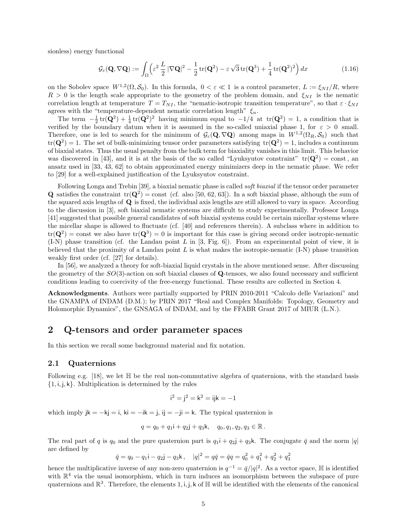sionless) energy functional

$$
\mathcal{G}_{\varepsilon}(\mathbf{Q}, \nabla \mathbf{Q}) := \int_{\Omega} \left( \varepsilon^2 \, \frac{L}{2} \, |\nabla \mathbf{Q}|^2 - \frac{1}{2} \operatorname{tr}(\mathbf{Q}^2) - \varepsilon \sqrt{3} \operatorname{tr}(\mathbf{Q}^3) + \frac{1}{4} \operatorname{tr}(\mathbf{Q}^2)^2 \right) dx \tag{1.16}
$$

on the Sobolev space  $W^{1,2}(\Omega,\mathcal{S}_0)$ . In this formula,  $0 < \varepsilon \ll 1$  is a control parameter,  $L := \xi_{NI}/R$ , where  $R > 0$  is the length scale appropriate to the geometry of the problem domain, and  $\xi_{NI}$  is the nematic correlation length at temperature  $T = T_{NI}$ , the "nematic-isotropic transition temperature", so that  $\varepsilon \cdot \xi_{NI}$ agrees with the "temperature-dependent nematic correlation length"  $\xi_n$ .

The term  $-\frac{1}{2}\text{tr}(\mathbf{Q}^2)+\frac{1}{4}\text{tr}(\mathbf{Q}^2)^2$  having minimum equal to  $-1/4$  at  $\text{tr}(\mathbf{Q}^2)=1$ , a condition that is verified by the boundary datum when it is assumed in the so-called uniaxial phase 1, for  $\varepsilon > 0$  small. Therefore, one is led to search for the minimum of  $\mathcal{G}_{\varepsilon}(\mathbf{Q}, \nabla \mathbf{Q})$  among maps in  $W^{1,2}(\Omega_R, \mathcal{S}_0)$  such that  $\text{tr}(\mathbf{Q}^2) = 1$ . The set of bulk-minimizing tensor order parameters satisfying  $\text{tr}(\mathbf{Q}^2) = 1$ , includes a continuum of biaxial states. Thus the usual penalty from the bulk term for biaxiality vanishes in this limit. This behavior was discovered in [43], and it is at the basis of the so called "Lyuksyutov constraint"  $tr(Q^2) = const$ , and ansatz used in [33, 43, 62] to obtain approximated energy minimizers deep in the nematic phase. We refer to [29] for a well-explained justification of the Lyuksyutov constraint.

Following Longa and Trebin [39], a biaxial nematic phase is called soft biaxial if the tensor order parameter **Q** satisfies the constraint  $tr(Q^2) = const$  (cf. also [50, 62, 63]). In a soft biaxial phase, although the sum of the squared axis lengths of Q is fixed, the individual axis lengths are still allowed to vary in space. According to the discussion in [3], soft biaxial nematic systems are difficult to study experimentally. Professor Longa [41] suggested that possible general candidates of soft biaxial systems could be certain micellar systems where the micellar shape is allowed to fluctuate (cf. [40] and references therein). A subclass where in addition to  $tr(\mathbf{Q}^2) = \text{const}$  we also have  $tr(\mathbf{Q}^3) = 0$  is important for this case is giving second order isotropic-nematic  $(I-N)$  phase transition (cf. the Landau point L in [3, Fig. 6]). From an experimental point of view, it is believed that the proximity of a Landau point  $L$  is what makes the isotropic-nematic  $(1-N)$  phase transition weakly first order (cf. [27] for details).

In [56], we analyzed a theory for soft-biaxial liquid crystals in the above mentioned sense. After discussing the geometry of the  $SO(3)$ -action on soft biaxial classes of Q-tensors, we also found necessary and sufficient conditions leading to coercivity of the free-energy functional. These results are collected in Section 4.

Acknowledgments. Authors were partially supported by PRIN 2010-2011 "Calcolo delle Variazioni" and the GNAMPA of INDAM (D.M.); by PRIN 2017 "Real and Complex Manifolds: Topology, Geometry and Holomorphic Dynamics", the GNSAGA of INDAM, and by the FFABR Grant 2017 of MIUR (L.N.).

## 2 Q-tensors and order parameter spaces

In this section we recall some background material and fix notation.

#### 2.1 Quaternions

Following e.g. [18], we let  $\mathbb H$  be the real non-commutative algebra of quaternions, with the standard basis  $\{1, i, j, k\}$ . Multiplication is determined by the rules

$$
i^2 = j^2 = k^2 = ijk = -1
$$

which imply  $jk = -kj = i$ ,  $ki = -ik = j$ ,  $ij = -ji = k$ . The typical quaternion is

$$
q = q_0 + q_1 i + q_2 j + q_3 k, \quad q_0, q_1, q_2, q_3 \in \mathbb{R}.
$$

The real part of q is  $q_0$  and the pure quaternion part is  $q_1$  +  $q_2$  +  $q_3$ k. The conjugate  $\bar{q}$  and the norm |q| are defined by

$$
\bar{q} = q_0 - q_1 i - q_2 j - q_3 k
$$
,  $|q|^2 = q\bar{q} = \bar{q}q = q_0^2 + q_1^2 + q_2^2 + q_3^2$ 

hence the multiplicative inverse of any non-zero quaternion is  $q^{-1} = \bar{q}/|q|^2$ . As a vector space, H is identified with  $\mathbb{R}^4$  via the usual isomorphism, which in turn induces an isomorphism between the subspace of pure quaternions and  $\mathbb{R}^3$ . Therefore, the elements 1, i, j, k of  $\mathbb{H}$  will be identified with the elements of the canonical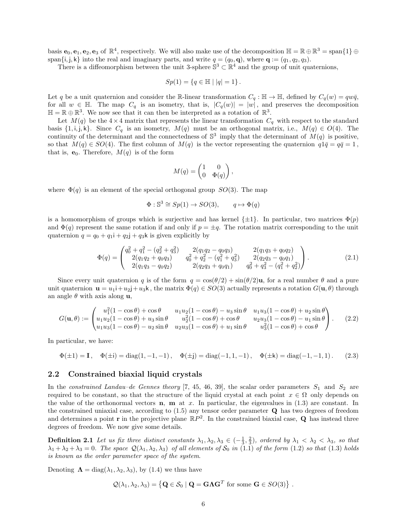basis  $e_0, e_1, e_2, e_3$  of  $\mathbb{R}^4$ , respectively. We will also make use of the decomposition  $\mathbb{H} = \mathbb{R} \oplus \mathbb{R}^3 = \text{span}\{1\} \oplus$ span $\{i, j, k\}$  into the real and imaginary parts, and write  $q = (q_0, \mathbf{q})$ , where  $\mathbf{q} := (q_1, q_2, q_3)$ .

There is a diffeomorphism between the unit 3-sphere  $\mathbb{S}^3 \subset \mathbb{R}^4$  and the group of unit quaternions,

$$
Sp(1) = \{q \in \mathbb{H} \mid |q| = 1\}.
$$

Let q be a unit quaternion and consider the R-linear transformation  $C_q : \mathbb{H} \to \mathbb{H}$ , defined by  $C_q(w) = q w \bar{q}$ , for all  $w \in \mathbb{H}$ . The map  $C_q$  is an isometry, that is,  $|C_q(w)| = |w|$ , and preserves the decomposition  $\mathbb{H} = \mathbb{R} \oplus \mathbb{R}^3$ . We now see that it can then be interpreted as a rotation of  $\mathbb{R}^3$ .

Let  $M(q)$  be the  $4\times 4$  matrix that represents the linear transformation  $C_q$  with respect to the standard basis  $\{1, i, j, k\}$ . Since  $C_q$  is an isometry,  $M(q)$  must be an orthogonal matrix, i.e.,  $M(q) \in O(4)$ . The continuity of the determinant and the connectedness of  $\mathbb{S}^3$  imply that the determinant of  $M(q)$  is positive, so that  $M(q) \in SO(4)$ . The first column of  $M(q)$  is the vector representing the quaternion  $q1\bar{q} = q\bar{q} = 1$ , that is,  $e_0$ . Therefore,  $M(q)$  is of the form

$$
M(q) = \begin{pmatrix} 1 & 0 \\ 0 & \Phi(q) \end{pmatrix},
$$

where  $\Phi(q)$  is an element of the special orthogonal group  $SO(3)$ . The map

$$
\Phi: \mathbb{S}^3 \cong Sp(1) \to SO(3), \qquad q \mapsto \Phi(q)
$$

is a homomorphism of groups which is surjective and has kernel  $\{\pm 1\}$ . In particular, two matrices  $\Phi(p)$ and  $\Phi(q)$  represent the same rotation if and only if  $p = \pm q$ . The rotation matrix corresponding to the unit quaternion  $q = q_0 + q_1i + q_2j + q_3k$  is given explicitly by

$$
\Phi(q) = \begin{pmatrix} q_0^2 + q_1^2 - (q_2^2 + q_3^2) & 2(q_1q_2 - q_0q_3) & 2(q_1q_3 + q_0q_2) \\ 2(q_1q_2 + q_0q_3) & q_0^2 + q_2^2 - (q_1^2 + q_3^2) & 2(q_2q_3 - q_0q_1) \\ 2(q_1q_3 - q_0q_2) & 2(q_2q_3 + q_0q_1) & q_0^2 + q_3^2 - (q_1^2 + q_2^2) \end{pmatrix}.
$$
\n(2.1)

Since every unit quaternion q is of the form  $q = \cos(\theta/2) + \sin(\theta/2)u$ , for a real number  $\theta$  and a pure unit quaternion  $\mathbf{u} = u_1 \mathbf{i} + u_2 \mathbf{j} + u_3 \mathbf{k}$ , the matrix  $\Phi(q) \in SO(3)$  actually represents a rotation  $G(\mathbf{u}, \theta)$  through an angle  $\theta$  with axis along **u**,

$$
G(\mathbf{u}, \theta) := \begin{pmatrix} u_1^2 (1 - \cos \theta) + \cos \theta & u_1 u_2 (1 - \cos \theta) - u_3 \sin \theta & u_1 u_3 (1 - \cos \theta) + u_2 \sin \theta \\ u_1 u_2 (1 - \cos \theta) + u_3 \sin \theta & u_2^2 (1 - \cos \theta) + \cos \theta & u_2 u_3 (1 - \cos \theta) - u_1 \sin \theta \\ u_1 u_3 (1 - \cos \theta) - u_2 \sin \theta & u_2 u_3 (1 - \cos \theta) + u_1 \sin \theta & u_3^2 (1 - \cos \theta) + \cos \theta \end{pmatrix}.
$$
 (2.2)

In particular, we have:

$$
\Phi(\pm 1) = \mathbf{I}, \quad \Phi(\pm \mathbf{i}) = \mathrm{diag}(1,-1,-1)\,, \quad \Phi(\pm \mathbf{j}) = \mathrm{diag}(-1,1,-1)\,, \quad \Phi(\pm \mathbf{k}) = \mathrm{diag}(-1,-1,1)\,.\tag{2.3}
$$

#### 2.2 Constrained biaxial liquid crystals

In the constrained Landau–de Gennes theory [7, 45, 46, 39], the scalar order parameters  $S_1$  and  $S_2$  are required to be constant, so that the structure of the liquid crystal at each point  $x \in \Omega$  only depends on the value of the orthonormal vectors  $n$ ,  $m$  at x. In particular, the eigenvalues in (1.3) are constant. In the constrained uniaxial case, according to  $(1.5)$  any tensor order parameter  $\bf{Q}$  has two degrees of freedom and determines a point **r** in the projective plane  $\mathbb{R}P^2$ . In the constrained biaxial case, **Q** has instead three degrees of freedom. We now give some details.

**Definition 2.1** Let us fix three distinct constants  $\lambda_1, \lambda_2, \lambda_3 \in (-\frac{1}{3}, \frac{2}{3})$ , ordered by  $\lambda_1 < \lambda_2 < \lambda_3$ , so that  $\lambda_1 + \lambda_2 + \lambda_3 = 0$ . The space  $\mathcal{Q}(\lambda_1, \lambda_2, \lambda_3)$  of all elements of  $\mathcal{S}_0$  in (1.1) of the form (1.2) so that (1.3) holds is known as the order parameter space of the system.

Denoting  $\Lambda = \text{diag}(\lambda_1, \lambda_2, \lambda_3)$ , by (1.4) we thus have

$$
\mathcal{Q}(\lambda_1, \lambda_2, \lambda_3) = \left\{ \mathbf{Q} \in \mathcal{S}_0 \mid \mathbf{Q} = \mathbf{G} \mathbf{\Lambda} \mathbf{G}^T \text{ for some } \mathbf{G} \in SO(3) \right\}.
$$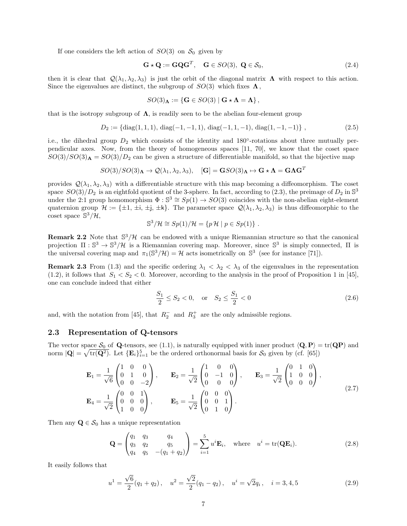If one considers the left action of  $SO(3)$  on  $\mathcal{S}_0$  given by

$$
\mathbf{G} \star \mathbf{Q} := \mathbf{G} \mathbf{Q} \mathbf{G}^T, \quad \mathbf{G} \in SO(3), \ \mathbf{Q} \in \mathcal{S}_0,\tag{2.4}
$$

then it is clear that  $\mathcal{Q}(\lambda_1, \lambda_2, \lambda_3)$  is just the orbit of the diagonal matrix  $\Lambda$  with respect to this action. Since the eigenvalues are distinct, the subgroup of  $SO(3)$  which fixes  $\Lambda$ ,

$$
SO(3)_{\mathbf{\Lambda}}:=\left\{\mathbf{G}\in SO(3)\mid \mathbf{G}\star\mathbf{\Lambda}=\mathbf{\Lambda}\right\},\
$$

that is the isotropy subgroup of  $\Lambda$ , is readily seen to be the abelian four-element group

$$
D_2 := \{ \text{diag}(1, 1, 1), \text{diag}(-1, -1, 1), \text{diag}(-1, 1, -1), \text{diag}(1, -1, -1) \},
$$
\n(2.5)

i.e., the dihedral group  $D_2$  which consists of the identity and 180 $\degree$ -rotations about three mutually perpendicular axes. Now, from the theory of homogeneous spaces [11, 70], we know that the coset space  $SO(3)/SO(3)$ **A** =  $SO(3)/D_2$  can be given a structure of differentiable manifold, so that the bijective map

$$
SO(3)/SO(3)_{\mathbf{\Lambda}}\rightarrow\mathcal{Q}(\lambda_{1},\lambda_{2},\lambda_{3}),\quad [\mathbf{G}]=\mathbf{G}SO(3)_{\mathbf{\Lambda}}\mapsto \mathbf{G}\star\mathbf{\Lambda}=\mathbf{G}\mathbf{\Lambda}\mathbf{G}^{T}
$$

provides  $\mathcal{Q}(\lambda_1, \lambda_2, \lambda_3)$  with a differentiable structure with this map becoming a diffeomorphism. The coset space  $SO(3)/D_2$  is an eightfold quotient of the 3-sphere. In fact, according to (2.3), the preimage of  $D_2$  in  $\mathbb{S}^3$ under the 2:1 group homomorphism  $\Phi : \mathbb{S}^3 \cong Sp(1) \to SO(3)$  coincides with the non-abelian eight-element quaternion group  $\mathcal{H} := \{\pm 1, \pm i, \pm j, \pm k\}.$  The parameter space  $\mathcal{Q}(\lambda_1, \lambda_2, \lambda_3)$  is thus diffeomorphic to the coset space  $\mathbb{S}^3/\mathcal{H}$ ,

$$
\mathbb{S}^3/\mathcal{H} \cong Sp(1)/\mathcal{H} = \{p\,\mathcal{H} \mid p \in Sp(1)\} .
$$

**Remark 2.2** Note that  $\mathbb{S}^3/\mathcal{H}$  can be endowed with a unique Riemannian structure so that the canonical projection  $\Pi: \mathbb{S}^3 \to \mathbb{S}^3/\mathcal{H}$  is a Riemannian covering map. Moreover, since  $\mathbb{S}^3$  is simply connected,  $\Pi$  is the universal covering map and  $\pi_1(\mathbb{S}^3/\mathcal{H}) = \mathcal{H}$  acts isometrically on  $\mathbb{S}^3$  (see for instance [71]).

**Remark 2.3** From (1.3) and the specific ordering  $\lambda_1 < \lambda_2 < \lambda_3$  of the eigenvalues in the representation  $(1.2)$ , it follows that  $S_1 < S_2 < 0$ . Moreover, according to the analysis in the proof of Proposition 1 in [45], one can conclude indeed that either

$$
\frac{S_1}{2} \le S_2 < 0, \quad \text{or} \quad S_2 \le \frac{S_1}{2} < 0 \tag{2.6}
$$

and, with the notation from [45], that  $R_2^-$  and  $R_3^+$  are the only admissible regions.

#### 2.3 Representation of Q-tensors

The vector space  $S_0$  of Q-tensors, see (1.1), is naturally equipped with inner product  $\langle \mathbf{Q}, \mathbf{P} \rangle = \text{tr}(\mathbf{QP})$  and norm  $|\mathbf{Q}| = \sqrt{\text{tr}(\mathbf{Q}^2)}$ . Let  $\{\mathbf{E}_i\}_{i=1}^5$  be the ordered orthonormal basis for  $\mathcal{S}_0$  given by (cf. [65])

$$
\mathbf{E}_1 = \frac{1}{\sqrt{6}} \begin{pmatrix} 1 & 0 & 0 \\ 0 & 1 & 0 \\ 0 & 0 & -2 \end{pmatrix}, \qquad \mathbf{E}_2 = \frac{1}{\sqrt{2}} \begin{pmatrix} 1 & 0 & 0 \\ 0 & -1 & 0 \\ 0 & 0 & 0 \end{pmatrix}, \qquad \mathbf{E}_3 = \frac{1}{\sqrt{2}} \begin{pmatrix} 0 & 1 & 0 \\ 1 & 0 & 0 \\ 0 & 0 & 0 \end{pmatrix},
$$
  

$$
\mathbf{E}_4 = \frac{1}{\sqrt{2}} \begin{pmatrix} 0 & 0 & 1 \\ 0 & 0 & 0 \\ 1 & 0 & 0 \end{pmatrix}, \qquad \mathbf{E}_5 = \frac{1}{\sqrt{2}} \begin{pmatrix} 0 & 0 & 0 \\ 0 & 0 & 1 \\ 0 & 1 & 0 \end{pmatrix}.
$$
 (2.7)

Then any  $\mathbf{Q} \in \mathcal{S}_0$  has a unique representation

$$
\mathbf{Q} = \begin{pmatrix} q_1 & q_3 & q_4 \\ q_3 & q_2 & q_5 \\ q_4 & q_5 & -(q_1 + q_2) \end{pmatrix} = \sum_{i=1}^5 u^i \mathbf{E}_i, \text{ where } u^i = \text{tr}(\mathbf{Q} \mathbf{E}_i). \tag{2.8}
$$

It easily follows that

$$
u^{1} = \frac{\sqrt{6}}{2}(q_{1} + q_{2}), \quad u^{2} = \frac{\sqrt{2}}{2}(q_{1} - q_{2}), \quad u^{i} = \sqrt{2}q_{i}, \quad i = 3, 4, 5
$$
\n(2.9)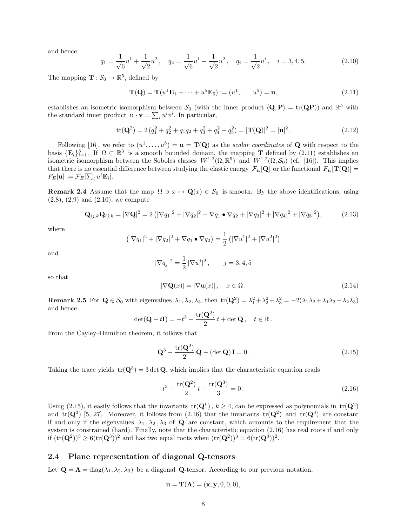and hence

$$
q_1 = \frac{1}{\sqrt{6}}u^1 + \frac{1}{\sqrt{2}}u^2, \quad q_2 = \frac{1}{\sqrt{6}}u^1 - \frac{1}{\sqrt{2}}u^2, \quad q_i = \frac{1}{\sqrt{2}}u^i, \quad i = 3, 4, 5.
$$
 (2.10)

The mapping  $\mathbf{T} : \mathcal{S}_0 \to \mathbb{R}^5$ , defined by

$$
\mathbf{T}(\mathbf{Q}) = \mathbf{T}(u^1 \mathbf{E}_1 + \dots + u^5 \mathbf{E}_5) := (u^1, \dots, u^5) = \mathbf{u},
$$
\n(2.11)

establishes an isometric isomorphism between  $S_0$  (with the inner product  $\langle \mathbf{Q}, \mathbf{P} \rangle = \text{tr}(\mathbf{QP})$ ) and  $\mathbb{R}^5$  with the standard inner product  $\mathbf{u} \cdot \mathbf{v} = \sum_i u^i v^i$ . In particular,

$$
\text{tr}(\mathbf{Q}^2) = 2\left(q_1^2 + q_2^2 + q_1q_2 + q_3^2 + q_4^2 + q_5^2\right) = |\mathbf{T}(\mathbf{Q})|^2 = |\mathbf{u}|^2. \tag{2.12}
$$

Following [16], we refer to  $(u^1,\ldots,u^5) = \mathbf{u} = \mathbf{T}(\mathbf{Q})$  as the scalar coordinates of **Q** with respect to the basis  $\{E_i\}_{i=1}^5$ . If  $\Omega \subset \mathbb{R}^3$  is a smooth bounded domain, the mapping **T** defined by (2.11) establishes an isometric isomorphism between the Soboles classes  $W^{1,2}(\Omega,\mathbb{R}^5)$  and  $W^{1,2}(\Omega,\mathcal{S}_0)$  (cf. [16]). This implies that there is no essential difference between studying the elastic energy  $\mathcal{F}_E[\mathbf{Q}]$  or the functional  $F_E[\mathbf{T}(\mathbf{Q})] =$  $F_E[\mathbf{u}] := \mathcal{F}_E[\sum_i u^i \mathbf{E}_i].$ 

**Remark 2.4** Assume that the map  $\Omega \ni x \mapsto \mathbf{Q}(x) \in \mathcal{S}_0$  is smooth. By the above identifications, using  $(2.8), (2.9)$  and  $(2.10)$ , we compute

$$
\mathbf{Q}_{ij,k}\mathbf{Q}_{ij,k} = |\nabla \mathbf{Q}|^2 = 2\left(|\nabla q_1|^2 + |\nabla q_2|^2 + \nabla q_1 \bullet \nabla q_2 + |\nabla q_3|^2 + |\nabla q_4|^2 + |\nabla q_5|^2\right),\tag{2.13}
$$

where

$$
(|\nabla q_1|^2 + |\nabla q_2|^2 + \nabla q_1 \bullet \nabla q_2) = \frac{1}{2} (|\nabla u^1|^2 + |\nabla u^2|^2)
$$

and

$$
|\nabla q_j|^2 = \frac{1}{2} |\nabla u^j|^2, \qquad j = 3, 4, 5
$$

so that

$$
|\nabla \mathbf{Q}(x)| = |\nabla \mathbf{u}(x)| \,, \quad x \in \Omega \,. \tag{2.14}
$$

**Remark 2.5** For  $\mathbf{Q} \in \mathcal{S}_0$  with eigenvalues  $\lambda_1, \lambda_2, \lambda_3$ , then  $\text{tr}(\mathbf{Q}^2) = \lambda_1^2 + \lambda_2^2 + \lambda_3^2 = -2(\lambda_1\lambda_2 + \lambda_1\lambda_3 + \lambda_2\lambda_3)$ and hence

$$
\det(\mathbf{Q} - t\mathbf{I}) = -t^3 + \frac{\text{tr}(\mathbf{Q}^2)}{2}t + \det \mathbf{Q}, \quad t \in \mathbb{R}.
$$

From the Cayley–Hamilton theorem, it follows that

$$
\mathbf{Q}^3 - \frac{\text{tr}(\mathbf{Q}^2)}{2} \mathbf{Q} - (\det \mathbf{Q}) \mathbf{I} = 0.
$$
 (2.15)

Taking the trace yields  $tr(Q^3) = 3 det Q$ , which implies that the characteristic equation reads

$$
t^3 - \frac{\text{tr}(\mathbf{Q}^2)}{2}t - \frac{\text{tr}(\mathbf{Q}^3)}{3} = 0.
$$
 (2.16)

Using (2.15), it easily follows that the invariants  $tr(Q^k)$ ,  $k \ge 4$ , can be expressed as polynomials in  $tr(Q^2)$ and tr( $\mathbf{Q}^3$ ) [5, 27]. Moreover, it follows from (2.16) that the invariants tr( $\mathbf{Q}^2$ ) and tr( $\mathbf{Q}^3$ ) are constant if and only if the eigenvalues  $\lambda_1, \lambda_2, \lambda_3$  of Q are constant, which amounts to the requirement that the system is constrained (hard). Finally, note that the characteristic equation (2.16) has real roots if and only if  $(\text{tr}(\mathbf{Q}^2))^3 \ge 6(\text{tr}(\mathbf{Q}^3))^2$  and has two equal roots when  $(\text{tr}(\mathbf{Q}^2))^3 = 6(\text{tr}(\mathbf{Q}^3))^2$ .

### 2.4 Plane representation of diagonal Q-tensors

Let  $\mathbf{Q} = \mathbf{\Lambda} = \text{diag}(\lambda_1, \lambda_2, \lambda_3)$  be a diagonal **Q**-tensor. According to our previous notation,

$$
\mathbf{u} = \mathbf{T}(\mathbf{\Lambda}) = (\mathbf{x}, \mathbf{y}, 0, 0, 0),
$$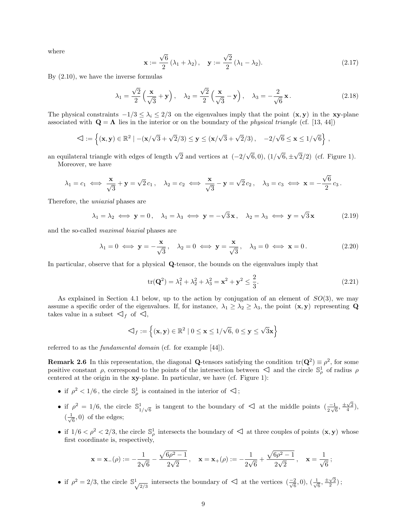where

$$
\mathbf{x} := \frac{\sqrt{6}}{2} \left( \lambda_1 + \lambda_2 \right), \quad \mathbf{y} := \frac{\sqrt{2}}{2} \left( \lambda_1 - \lambda_2 \right). \tag{2.17}
$$

By (2.10), we have the inverse formulas

$$
\lambda_1 = \frac{\sqrt{2}}{2} \left( \frac{\mathbf{x}}{\sqrt{3}} + \mathbf{y} \right), \quad \lambda_2 = \frac{\sqrt{2}}{2} \left( \frac{\mathbf{x}}{\sqrt{3}} - \mathbf{y} \right), \quad \lambda_3 = -\frac{2}{\sqrt{6}} \mathbf{x} \,. \tag{2.18}
$$

The physical constraints  $-1/3 \leq \lambda_i \leq 2/3$  on the eigenvalues imply that the point  $(x, y)$  in the xy-plane associated with  $\mathbf{Q} = \mathbf{\Lambda}$  lies in the interior or on the boundary of the *physical triangle* (cf. [13, 44])

$$
\textstyle \triangleleft := \left\{ (\mathbf{x},\mathbf{y}) \in \mathbb{R}^2 \mid - (\mathbf{x}/\sqrt{3} + \sqrt{2}/3) \leq \mathbf{y} \leq (\mathbf{x}/\sqrt{3} + \sqrt{2}/3), \quad -2/\sqrt{6} \leq \mathbf{x} \leq 1/\sqrt{6} \right\},
$$

an equilateral triangle with edges of length  $\sqrt{2}$  and vertices at  $(-2)$ √  $(6,0), (1/$ √  $6, \pm$ √ 2/2) (cf. Figure 1). Moreover, we have

$$
\lambda_1 = c_1 \iff \frac{\mathbf{x}}{\sqrt{3}} + \mathbf{y} = \sqrt{2} c_1, \quad \lambda_2 = c_2 \iff \frac{\mathbf{x}}{\sqrt{3}} - \mathbf{y} = \sqrt{2} c_2, \quad \lambda_3 = c_3 \iff \mathbf{x} = -\frac{\sqrt{6}}{2} c_3.
$$

Therefore, the uniaxial phases are

$$
\lambda_1 = \lambda_2 \iff \mathbf{y} = 0, \quad \lambda_1 = \lambda_3 \iff \mathbf{y} = -\sqrt{3}\mathbf{x}, \quad \lambda_2 = \lambda_3 \iff \mathbf{y} = \sqrt{3}\mathbf{x}
$$
 (2.19)

and the so-called maximal biaxial phases are

$$
\lambda_1 = 0 \iff \mathbf{y} = -\frac{\mathbf{x}}{\sqrt{3}}, \quad \lambda_2 = 0 \iff \mathbf{y} = \frac{\mathbf{x}}{\sqrt{3}}, \quad \lambda_3 = 0 \iff \mathbf{x} = 0.
$$
\n(2.20)

In particular, observe that for a physical Q-tensor, the bounds on the eigenvalues imply that

$$
\text{tr}(\mathbf{Q}^2) = \lambda_1^2 + \lambda_2^2 + \lambda_3^2 = \mathbf{x}^2 + \mathbf{y}^2 \le \frac{2}{3}.
$$
 (2.21)

As explained in Section 4.1 below, up to the action by conjugation of an element of  $SO(3)$ , we may assume a specific order of the eigenvalues. If, for instance,  $\lambda_1 \geq \lambda_2 \geq \lambda_3$ , the point  $(\mathbf{x}, \mathbf{y})$  representing Q takes value in a subset  $\mathcal{A}_f$  of  $\mathcal{A}_f$ ,

$$
\mathcal{A}_f := \left\{ (\mathbf{x}, \mathbf{y}) \in \mathbb{R}^2 \mid 0 \le \mathbf{x} \le 1/\sqrt{6}, 0 \le \mathbf{y} \le \sqrt{3}\mathbf{x} \right\}
$$

referred to as the *fundamental domain* (cf. for example [44]).

**Remark 2.6** In this representation, the diagonal Q-tensors satisfying the condition  $tr(Q^2) \equiv \rho^2$ , for some **Provided A** 2.0 In this representation, the diagonal Q-cursors satisfying the condition  $u(\mathbf{Q}) = p$ , for some positive constant *ρ*, correspond to the points of the intersection between  $\triangleleft$  and the circle  $\mathbb{S}_p^1$  centered at the origin in the xy-plane. In particular, we have (cf. Figure 1):

- if  $\rho^2 < 1/6$ , the circle  $\mathbb{S}^1_\rho$  is contained in the interior of  $\mathbb{S}^1$ ;
- if  $\rho^2 = 1/6$ , the circle  $\mathbb{S}^1$ <sup>1</sup>/√<sub>6</sub> is tangent to the boundary of  $\triangleleft$  at the middle points  $\left(\frac{-1}{2\sqrt{6}}, \frac{\pm\sqrt{2}}{4}\right)$ ,  $\left(\frac{1}{\sqrt{2}}\right)$  $\frac{1}{6}$ , 0) of the edges;
- if  $1/6 < \rho^2 < 2/3$ , the circle  $\mathbb{S}_{\rho}^1$  intersects the boundary of  $\mathbb{S}_{\rho}^1$  at three couples of points  $(\mathbf{x}, \mathbf{y})$  whose first coordinate is, respectively,

$$
\mathbf{x} = \mathbf{x}_{-}(\rho) := -\frac{1}{2\sqrt{6}} - \frac{\sqrt{6\rho^2 - 1}}{2\sqrt{2}}, \quad \mathbf{x} = \mathbf{x}_{+}(\rho) := -\frac{1}{2\sqrt{6}} + \frac{\sqrt{6\rho^2 - 1}}{2\sqrt{2}}, \quad \mathbf{x} = \frac{1}{\sqrt{6}};
$$

• if  $\rho^2 = 2/3$ , the circle  $\mathbb{S}^1$  intersects the boundary of  $\mathbb{S}^1$  at the vertices  $\left(\frac{-2}{\sqrt{6}}, 0\right)$ ,  $\left(\frac{1}{\sqrt{6}}\right)$  $\frac{\pm\sqrt{2}}{6}, \frac{\pm\sqrt{2}}{2}$ );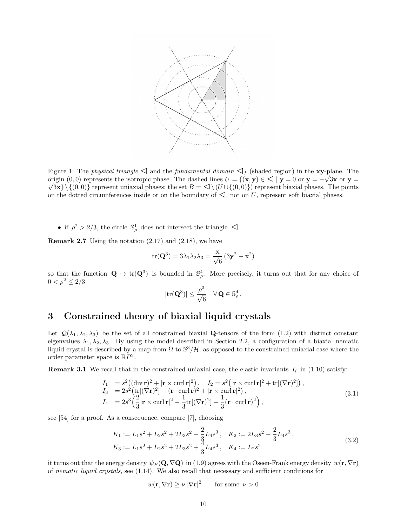

Figure 1: The *physical triangle*  $\triangleleft$  and the *fundamental domain*  $\triangleleft$ <sub>f</sub> (shaded region) in the **xy**-plane. The origin (0, 0) represents the isotropic phase. The dashed lines  $U = \{(\mathbf{x}, \mathbf{y}) \in \mathcal{L} \mid \mathbf{y} = 0 \text{ or } \mathbf{y} = -\sqrt{3}\mathbf{x} \text{ or } \mathbf{y} =$  $\{\{0,0\}\}\$  represent uniaxial phases; the set  $B = \langle \langle (U \cup \{(0,0)\})\rangle\)$  represent biaxial phases. The points on the dotted circumferences inside or on the boundary of  $\triangleleft$ , not on U, represent soft biaxial phases.

• if  $\rho^2 > 2/3$ , the circle  $\mathbb{S}^1_\rho$  does not intersect the triangle  $\triangleleft$ .

**Remark 2.7** Using the notation  $(2.17)$  and  $(2.18)$ , we have

$$
\mathrm{tr}(\mathbf{Q}^3) = 3\lambda_1\lambda_2\lambda_3 = \frac{\mathbf{x}}{\sqrt{6}}(3\mathbf{y}^2 - \mathbf{x}^2)
$$

so that the function  $\mathbf{Q} \mapsto \text{tr}(\mathbf{Q}^3)$  is bounded in  $\mathbb{S}^4_\rho$ . More precisely, it turns out that for any choice of  $0 < \rho^2 \leq 2/3$ 

$$
|\mathrm{tr}(\mathbf{Q}^3)| \leq \frac{\rho^3}{\sqrt{6}} \quad \forall \, \mathbf{Q} \in \mathbb{S}^4_\rho \,.
$$

## 3 Constrained theory of biaxial liquid crystals

Let  $\mathcal{Q}(\lambda_1, \lambda_2, \lambda_3)$  be the set of all constrained biaxial **Q**-tensors of the form (1.2) with distinct constant eigenvalues  $\lambda_1, \lambda_2, \lambda_3$ . By using the model described in Section 2.2, a configuration of a biaxial nematic liquid crystal is described by a map from  $\Omega$  to  $\mathbb{S}^3/\mathcal{H}$ , as opposed to the constrained uniaxial case where the order parameter space is  $\mathbb{R}P^2$ .

**Remark 3.1** We recall that in the constrained uniaxial case, the elastic invariants  $I_i$  in (1.10) satisfy:

$$
I_1 = s^2 \left( (\text{div } \mathbf{r})^2 + |\mathbf{r} \times \text{curl } \mathbf{r}|^2 \right), \quad I_2 = s^2 \left( |\mathbf{r} \times \text{curl } \mathbf{r}|^2 + \text{tr}[(\nabla \mathbf{r})^2] \right),
$$
  
\n
$$
I_3 = 2s^2 \left( \text{tr}[(\nabla \mathbf{r})^2] + (\mathbf{r} \cdot \text{curl } \mathbf{r})^2 + |\mathbf{r} \times \text{curl } \mathbf{r}|^2 \right),
$$
  
\n
$$
I_4 = 2s^3 \left( \frac{2}{3} |\mathbf{r} \times \text{curl } \mathbf{r}|^2 - \frac{1}{3} \text{tr}[(\nabla \mathbf{r})^2] - \frac{1}{3} (\mathbf{r} \cdot \text{curl } \mathbf{r})^2 \right),
$$
\n(3.1)

see [54] for a proof. As a consequence, compare [7], choosing

$$
K_1 := L_1 s^2 + L_2 s^2 + 2L_3 s^2 - \frac{2}{3} L_4 s^3, \quad K_2 := 2L_3 s^2 - \frac{2}{3} L_4 s^3,
$$
  
\n
$$
K_3 := L_1 s^2 + L_2 s^2 + 2L_3 s^2 + \frac{4}{3} L_4 s^3, \quad K_4 := L_2 s^2
$$
\n(3.2)

it turns out that the energy density  $\psi_E(\mathbf{Q}, \nabla \mathbf{Q})$  in (1.9) agrees with the Oseen-Frank energy density  $w(\mathbf{r}, \nabla \mathbf{r})$ of nematic liquid crystals, see (1.14). We also recall that necessary and sufficient conditions for

$$
w(\mathbf{r}, \nabla \mathbf{r}) \ge \nu |\nabla \mathbf{r}|^2
$$
 for some  $\nu > 0$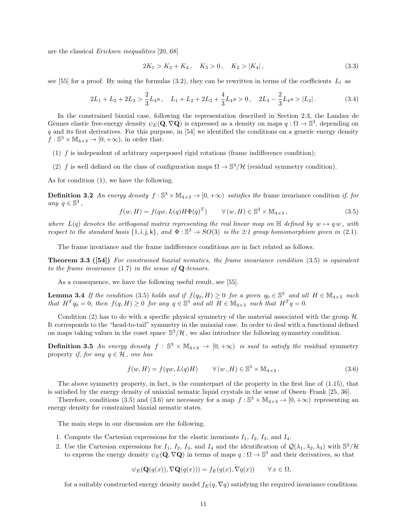are the classical Ericksen inequalities [20, 68]

$$
2K_1 > K_2 + K_4, \quad K_3 > 0, \quad K_2 > |K_4|,\tag{3.3}
$$

see [55] for a proof. By using the formulas (3.2), they can be rewritten in terms of the coefficients  $L_i$  as

$$
2L_1 + L_2 + 2L_3 > \frac{2}{3}L_4s, \quad L_1 + L_2 + 2L_3 + \frac{4}{3}L_4s > 0, \quad 2L_3 - \frac{2}{3}L_4s > |L_2|.
$$
 (3.4)

In the constrained biaxial case, following the representation described in Section 2.3, the Landau–de Gennes elastic free-energy density  $\psi_E(\mathbf{Q}, \nabla \mathbf{Q})$  is expressed as a density on maps  $q: \Omega \to \mathbb{S}^3$ , depending on q and its first derivatives. For this purpose, in [54] we identified the conditions on a generic energy density  $f : \mathbb{S}^3 \times \mathbb{M}_{4 \times 3} \to [0, +\infty)$ , in order that:

- (1)  $f$  is independent of arbitrary superposed rigid rotations (frame indifference condition);
- (2) f is well defined on the class of configuration maps  $\Omega \to \mathbb{S}^3/\mathcal{H}$  (residual symmetry condition).

As for condition (1), we have the following.

**Definition 3.2** An energy density  $f : \mathbb{S}^3 \times \mathbb{M}_{4 \times 3} \to [0, +\infty)$  satisfies the frame invariance condition if, for any  $q \in \mathbb{S}^3$ ,

$$
f(w, H) = f(qw, L(q)H\Phi(q)^{T}) \qquad \forall (w, H) \in \mathbb{S}^{3} \times \mathbb{M}_{4 \times 3},
$$
\n(3.5)

where  $L(q)$  denotes the orthogonal matrix representing the real linear map on  $\mathbb{H}$  defined by  $w \mapsto q w$ , with respect to the standard basis  $\{1, i, j, k\}$ , and  $\Phi : \mathbb{S}^3 \to SO(3)$  is the 2:1 group homomorphism given in (2.1).

The frame invariance and the frame indifference conditions are in fact related as follows.

**Theorem 3.3 ([54])** For constrained biaxial nematics, the frame invariance condition (3.5) is equivalent to the frame invariance  $(1.7)$  in the sense of Q-tensors.

As a consequence, we have the following useful result, see [55].

**Lemma 3.4** If the condition (3.5) holds and if  $f(q_0, H) \ge 0$  for a given  $q_0 \in \mathbb{S}^3$  and all  $H \in \mathbb{M}_{4 \times 3}$  such that  $H^T q_0 = 0$ , then  $f(q, H) \geq 0$  for any  $q \in \mathbb{S}^3$  and all  $H \in \mathbb{M}_{4 \times 3}$  such that  $H^T q = 0$ .

Condition (2) has to do with a specific physical symmetry of the material associated with the group  $\mathcal{H}$ . It corresponds to the "head-to-tail" symmetry in the uniaxial case. In order to deal with a functional defined on maps taking values in the coset space  $\mathbb{S}^3/\mathcal{H}$ , we also introduce the following symmetry condition.

**Definition 3.5** An energy density  $f : \mathbb{S}^3 \times \mathbb{M}_{4 \times 3} \to [0, +\infty)$  is said to satisfy the residual symmetry property if, for any  $q \in \mathcal{H}$ , one has

$$
f(w, H) = f(qw, L(q)H) \qquad \forall (w, H) \in \mathbb{S}^3 \times \mathbb{M}_{4 \times 3}.
$$
 (3.6)

The above symmetry property, in fact, is the counterpart of the property in the first line of (1.15), that is satisfied by the energy density of uniaxial nematic liquid crystals in the sense of Oseen–Frank [25, 36].

Therefore, conditions (3.5) and (3.6) are necessary for a map  $f : \mathbb{S}^3 \times \mathbb{M}_{4 \times 3} \to [0, +\infty)$  representing an energy density for constrained biaxial nematic states.

The main steps in our discussion are the following.

- 1. Compute the Cartesian expressions for the elastic invariants  $I_1$ ,  $I_2$ ,  $I_3$ , and  $I_4$ .
- 2. Use the Cartesian expressions for  $I_1$ ,  $I_2$ ,  $I_3$ , and  $I_4$  and the identification of  $\mathcal{Q}(\lambda_1, \lambda_2, \lambda_3)$  with  $\mathbb{S}^3/\mathcal{H}$ to express the energy density  $\psi_E(\mathbf{Q}, \nabla \mathbf{Q})$  in terms of maps  $q : \Omega \to \mathbb{S}^3$  and their derivatives, so that

$$
\psi_E(\mathbf{Q}(q(x)), \nabla \mathbf{Q}(q(x))) = f_E(q(x), \nabla q(x)) \qquad \forall x \in \Omega,
$$

for a suitably constructed energy density model  $f_E(q, \nabla q)$  satisfying the required invariance conditions.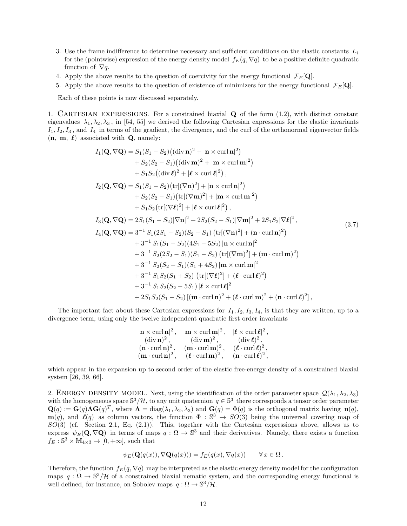- 3. Use the frame indifference to determine necessary and sufficient conditions on the elastic constants  $L_i$ for the (pointwise) expression of the energy density model  $f_E(q, \nabla q)$  to be a positive definite quadratic function of  $\nabla q$ .
- 4. Apply the above results to the question of coercivity for the energy functional  $\mathcal{F}_E[\mathbf{Q}]$ .
- 5. Apply the above results to the question of existence of minimizers for the energy functional  $\mathcal{F}_E[\mathbf{Q}]$ .

Each of these points is now discussed separately.

1. CARTESIAN EXPRESSIONS. For a constrained biaxial  $Q$  of the form  $(1.2)$ , with distinct constant eigenvalues  $\lambda_1, \lambda_2, \lambda_3$ , in [54, 55] we derived the following Cartesian expressions for the elastic invariants  $I_1, I_2, I_3$ , and  $I_4$  in terms of the gradient, the divergence, and the curl of the orthonormal eigenvector fields  $(n, m, \ell)$  associated with **Q**, namely:

$$
I_{1}(\mathbf{Q}, \nabla \mathbf{Q}) = S_{1}(S_{1} - S_{2})((\text{div }\mathbf{n})^{2} + |\mathbf{n} \times \text{curl }\mathbf{n}|^{2})
$$
  
+  $S_{2}(S_{2} - S_{1})((\text{div }\mathbf{m})^{2} + |\mathbf{m} \times \text{curl }\mathbf{m}|^{2})$   
+  $S_{1}S_{2}((\text{div }\ell)^{2} + |\ell \times \text{curl }\ell|^{2}),$   
 $I_{2}(\mathbf{Q}, \nabla \mathbf{Q}) = S_{1}(S_{1} - S_{2})(\text{tr}[(\nabla \mathbf{n})^{2}] + |\mathbf{n} \times \text{curl }\mathbf{n}|^{2})$   
+  $S_{2}(S_{2} - S_{1})(\text{tr}[(\nabla \mathbf{m})^{2}] + |\mathbf{m} \times \text{curl }\mathbf{m}|^{2})$   
+  $S_{1}S_{2}(\text{tr}[(\nabla \ell)^{2}] + |\ell \times \text{curl }\ell|^{2}),$   
 $I_{3}(\mathbf{Q}, \nabla \mathbf{Q}) = 2S_{1}(S_{1} - S_{2})|\nabla \mathbf{n}|^{2} + 2S_{2}(S_{2} - S_{1})|\nabla \mathbf{m}|^{2} + 2S_{1}S_{2}|\nabla \ell|^{2},$   
 $I_{4}(\mathbf{Q}, \nabla \mathbf{Q}) = 3^{-1} S_{1}(2S_{1} - S_{2})(S_{2} - S_{1}) (\text{tr}[(\nabla \mathbf{n})^{2}] + (\mathbf{n} \cdot \text{curl }\mathbf{n})^{2})$   
+  $3^{-1} S_{1}(S_{1} - S_{2})(4S_{1} - 5S_{2}) |\mathbf{n} \times \text{curl }\mathbf{n}|^{2}$   
+  $3^{-1} S_{2}(2S_{2} - S_{1})(S_{1} + 4S_{2}) |\mathbf{m} \times \text{curl }\mathbf{m}|^{2}$   
+  $3^{-1} S_{1}S_{2}(S_{1} + S_{2}) (\text{tr}[(\nabla \mathbf{m})^{2}] + (\mathbf{n} \cdot \text{curl }\mathbf{m})^{2})$   
+  $3^{-1} S_{1}S_{2}(S_{1} + S_{2}) (\text{$ 

The important fact about these Cartesian expressions for  $I_1, I_2, I_3, I_4$ , is that they are written, up to a divergence term, using only the twelve independent quadratic first order invariants

$$
|\mathbf{n} \times \text{curl} \mathbf{n}|^2, \quad |\mathbf{m} \times \text{curl} \mathbf{m}|^2, \quad |\ell \times \text{curl} \ell|^2, \n(\text{div} \mathbf{n})^2, \quad (\text{div} \mathbf{m})^2, \quad (\text{div} \ell)^2, \n(\mathbf{n} \cdot \text{curl} \mathbf{n})^2, \quad (\mathbf{m} \cdot \text{curl} \mathbf{m})^2, \quad (\ell \cdot \text{curl} \ell)^2, \n(\mathbf{m} \cdot \text{curl} \mathbf{n})^2, \quad (\ell \cdot \text{curl} \mathbf{m})^2, \quad (\mathbf{n} \cdot \text{curl} \ell)^2,
$$

which appear in the expansion up to second order of the elastic free-energy density of a constrained biaxial system [26, 39, 66].

2. ENERGY DENSITY MODEL. Next, using the identification of the order parameter space  $\mathcal{Q}(\lambda_1, \lambda_2, \lambda_3)$ with the homogeneous space  $\mathbb{S}^3/\mathcal{H}$ , to any unit quaternion  $q \in \mathbb{S}^3$  there corresponds a tensor order parameter  $\mathbf{Q}(q) := \mathbf{G}(q) \mathbf{\Lambda} \mathbf{G}(q)^T$ , where  $\mathbf{\Lambda} = \text{diag}(\lambda_1, \lambda_2, \lambda_3)$  and  $\mathbf{G}(q) = \Phi(q)$  is the orthogonal matrix having  $\mathbf{n}(q)$ ,  $m(q)$ , and  $\ell(q)$  as column vectors, the function  $\Phi : \mathbb{S}^3 \to SO(3)$  being the universal covering map of  $SO(3)$  (cf. Section 2.1, Eq. (2.1)). This, together with the Cartesian expressions above, allows us to express  $\psi_E(\mathbf{Q}, \nabla \mathbf{Q})$  in terms of maps  $q : \Omega \to \mathbb{S}^3$  and their derivatives. Namely, there exists a function  $f_E : \mathbb{S}^3 \times \mathbb{M}_{4 \times 3} \to [0, +\infty]$ , such that

$$
\psi_E(\mathbf{Q}(q(x)), \nabla \mathbf{Q}(q(x))) = f_E(q(x), \nabla q(x)) \qquad \forall x \in \Omega.
$$

Therefore, the function  $f_E(q, \nabla q)$  may be interpreted as the elastic energy density model for the configuration maps  $q : \Omega \to \mathbb{S}^3/\mathcal{H}$  of a constrained biaxial nematic system, and the corresponding energy functional is well defined, for instance, on Sobolev maps  $q : \Omega \to \mathbb{S}^3/\mathcal{H}$ .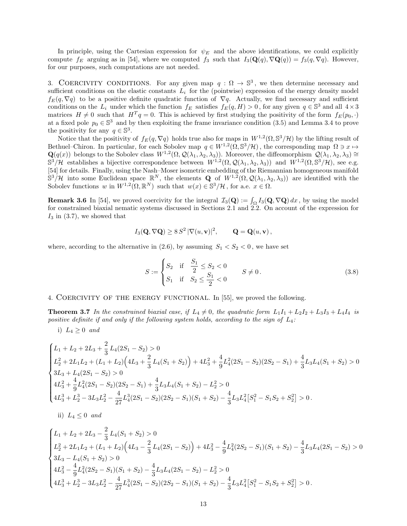In principle, using the Cartesian expression for  $\psi_E$  and the above identifications, we could explicitly compute  $f_E$  arguing as in [54], where we computed  $f_3$  such that  $I_3(\mathbf{Q}(q), \nabla \mathbf{Q}(q)) = f_3(q, \nabla q)$ . However, for our purposes, such computations are not needed.

3. COERCIVITY CONDITIONS. For any given map  $q : \Omega \to \mathbb{S}^3$ , we then determine necessary and sufficient conditions on the elastic constants  $L_i$  for the (pointwise) expression of the energy density model  $f_E(q, \nabla q)$  to be a positive definite quadratic function of  $\nabla q$ . Actually, we find necessary and sufficient conditions on the  $L_i$  under which the function  $f_E$  satisfies  $f_E(q, H) > 0$ , for any given  $q \in \mathbb{S}^3$  and all  $4 \times 3$ matrices  $H \neq 0$  such that  $H^T q = 0$ . This is achieved by first studying the positivity of the form  $f_E(p_0, \cdot)$ at a fixed pole  $p_0 \in \mathbb{S}^3$  and by then exploiting the frame invariance condition (3.5) and Lemma 3.4 to prove the positivity for any  $q \in \mathbb{S}^3$ .

Notice that the positivity of  $f_E(q, \nabla q)$  holds true also for maps in  $W^{1,2}(\Omega, \mathbb{S}^3/\mathcal{H})$  by the lifting result of Bethuel–Chiron. In particular, for each Sobolev map  $q \in W^{1,2}(\Omega, \mathbb{S}^3/\mathcal{H})$ , the corresponding map  $\Omega \ni x \mapsto$  $\mathbf{Q}(q(x))$  belongs to the Sobolev class  $W^{1,2}(\Omega,\mathcal{Q}(\lambda_1,\lambda_2,\lambda_3))$ . Moreover, the diffeomorphism  $\mathcal{Q}(\lambda_1,\lambda_2,\lambda_3) \cong$  $\mathbb{S}^3/\mathcal{H}$  establishes a bijective correspondence between  $W^{1,2}(\Omega,\mathcal{Q}(\lambda_1,\lambda_2,\lambda_3))$  and  $W^{1,2}(\Omega,\mathbb{S}^3/\mathcal{H})$ , see e.g. [54] for details. Finally, using the Nash–Moser isometric embedding of the Riemannian homogeneous manifold  $\mathbb{S}^3/\mathcal{H}$  into some Euclidean space  $\mathbb{R}^N$ , the elements **Q** of  $W^{1,2}(\Omega,\mathcal{Q}(\lambda_1,\lambda_2,\lambda_3))$  are identified with the Sobolev functions w in  $W^{1,2}(\Omega,\mathbb{R}^N)$  such that  $w(x) \in \mathbb{S}^3/\mathcal{H}$ , for a.e.  $x \in \Omega$ .

**Remark 3.6** In [54], we proved coercivity for the integral  $\mathcal{I}_3(\mathbf{Q}) := \int_{\Omega} I_3(\mathbf{Q}, \nabla \mathbf{Q}) dx$ , by using the model for constrained biaxial nematic systems discussed in Sections 2.1 and 2.2. On account of the expression for  $I_3$  in (3.7), we showed that

$$
I_3(\mathbf{Q}, \nabla \mathbf{Q}) \geq 8S^2 |\nabla(u, \mathbf{v})|^2, \qquad \mathbf{Q} = \mathbf{Q}(u, \mathbf{v}),
$$

where, according to the alternative in  $(2.6)$ , by assuming  $S_1 < S_2 < 0$ , we have set

$$
S := \begin{cases} S_2 & \text{if } \frac{S_1}{2} \le S_2 < 0 \\ S_1 & \text{if } S_2 \le \frac{S_1}{2} < 0 \end{cases} \qquad S \ne 0. \tag{3.8}
$$

#### 4. Coercivity of the energy functional. In [55], we proved the following.

**Theorem 3.7** In the constrained biaxial case, if  $L_4 \neq 0$ , the quadratic form  $L_1I_1 + L_2I_2 + L_3I_3 + L_4I_4$  is positive definite if and only if the following system holds, according to the sign of  $L_4$ :

i)  $L_4 \geq 0$  and

$$
\begin{cases} L_1 + L_2 + 2L_3 + \frac{2}{3}L_4(2S_1 - S_2) > 0 \\ L_2^2 + 2L_1L_2 + (L_1 + L_2)\left(4L_3 + \frac{2}{3}L_4(S_1 + S_2)\right) + 4L_3^2 + \frac{4}{9}L_4^2(2S_1 - S_2)(2S_2 - S_1) + \frac{4}{3}L_3L_4(S_1 + S_2) > 0 \\ 3L_3 + L_4(2S_1 - S_2) > 0 \\ 4L_3^2 + \frac{4}{9}L_4^2(2S_1 - S_2)(2S_2 - S_1) + \frac{4}{3}L_3L_4(S_1 + S_2) - L_2^2 > 0 \\ 4L_3^3 + L_2^3 - 3L_3L_2^2 - \frac{4}{27}L_4^3(2S_1 - S_2)(2S_2 - S_1)(S_1 + S_2) - \frac{4}{3}L_3L_4^2[S_1^2 - S_1S_2 + S_2^2] > 0. \end{cases}
$$

ii)  $L_4 \leq 0$  and

$$
\begin{cases}\nL_1 + L_2 + 2L_3 - \frac{2}{3}L_4(S_1 + S_2) > 0 \\
L_2^2 + 2L_1L_2 + (L_1 + L_2)\left(4L_3 - \frac{2}{3}L_4(2S_1 - S_2)\right) + 4L_3^2 - \frac{4}{9}L_4^2(2S_2 - S_1)(S_1 + S_2) - \frac{4}{3}L_3L_4(2S_1 - S_2) > 0 \\
3L_3 - L_4(S_1 + S_2) > 0 \\
4L_3^2 - \frac{4}{9}L_4^2(2S_2 - S_1)(S_1 + S_2) - \frac{4}{3}L_3L_4(2S_1 - S_2) - L_2^2 > 0 \\
4L_3^3 + L_2^3 - 3L_3L_2^2 - \frac{4}{27}L_4^3(2S_1 - S_2)(2S_2 - S_1)(S_1 + S_2) - \frac{4}{3}L_3L_4^2[S_1^2 - S_1S_2 + S_2^2] > 0.\n\end{cases}
$$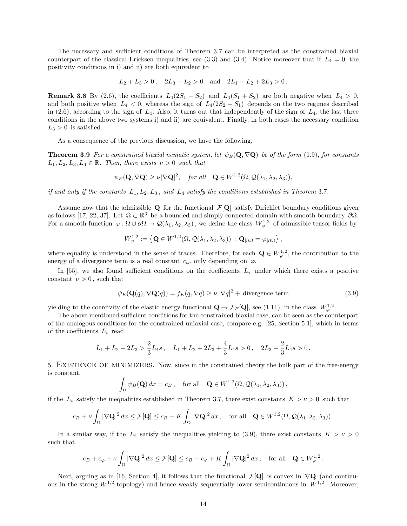The necessary and sufficient conditions of Theorem 3.7 can be interpreted as the constrained biaxial counterpart of the classical Ericksen inequalities, see (3.3) and (3.4). Notice moreover that if  $L_4 = 0$ , the positivity conditions in i) and ii) are both equivalent to

$$
L_2 + L_3 > 0
$$
,  $2L_3 - L_2 > 0$  and  $2L_1 + L_2 + 2L_3 > 0$ .

**Remark 3.8** By (2.6), the coefficients  $L_4(2S_1 - S_2)$  and  $L_4(S_1 + S_2)$  are both negative when  $L_4 > 0$ , and both positive when  $L_4 < 0$ , whereas the sign of  $L_4(2S_2 - S_1)$  depends on the two regimes described in (2.6), according to the sign of  $L_4$ . Also, it turns out that independently of the sign of  $L_4$ , the last three conditions in the above two systems i) and ii) are equivalent. Finally, in both cases the necessary condition  $L_3 > 0$  is satisfied.

As a consequence of the previous discussion, we have the following.

**Theorem 3.9** For a constrained biaxial nematic system, let  $\psi_E(\mathbf{Q}, \nabla \mathbf{Q})$  be of the form (1.9), for constants  $L_1, L_2, L_3, L_4 \in \mathbb{R}$ . Then, there exists  $\nu > 0$  such that

$$
\psi_E(\mathbf{Q}, \nabla \mathbf{Q}) \geq \nu |\nabla \mathbf{Q}|^2
$$
, for all  $\mathbf{Q} \in W^{1,2}(\Omega, \mathcal{Q}(\lambda_1, \lambda_2, \lambda_3))$ ,

if and only if the constants  $L_1, L_2, L_3$ , and  $L_4$  satisfy the conditions established in Theorem 3.7.

Assume now that the admissible  $Q$  for the functional  $\mathcal{F}[Q]$  satisfy Dirichlet boundary conditions given as follows [17, 22, 37]. Let  $\Omega \subset \mathbb{R}^3$  be a bounded and simply connected domain with smooth boundary  $\partial \Omega$ . For a smooth function  $\varphi : \Omega \cup \partial \Omega \to \mathcal{Q}(\lambda_1, \lambda_2, \lambda_3)$ , we define the class  $W^{1,2}_{\varphi}$  of admissible tensor fields by

$$
W^{1,2}_{\varphi} := \left\{ \mathbf{Q} \in W^{1,2}(\Omega, \mathcal{Q}(\lambda_1, \lambda_2, \lambda_3)) \, : \, \mathbf{Q}_{|\partial\Omega} = \varphi_{|\partial\Omega} \right\},
$$

where equality is understood in the sense of traces. Therefore, for each  $\mathbf{Q} \in W^{1,2}_{\varphi}$ , the contribution to the energy of a divergence term is a real constant  $c_{\varphi}$ , only depending on  $\varphi$ .

In [55], we also found sufficient conditions on the coefficients  $L_i$  under which there exists a positive constant  $\nu > 0$ , such that

$$
\psi_E(\mathbf{Q}(q), \nabla \mathbf{Q}(q)) = f_E(q, \nabla q) \ge \nu |\nabla q|^2 + \text{divergence term}
$$
\n(3.9)

yielding to the coercivity of the elastic energy functional  $\mathbf{Q} \mapsto \mathcal{F}_E[\mathbf{Q}]$ , see (1.11), in the class  $W^{1,2}_{\varphi}$ .

The above mentioned sufficient conditions for the constrained biaxial case, can be seen as the counterpart of the analogous conditions for the constrained uniaxial case, compare e.g. [25, Section 5.1], which in terms of the coefficients  $L_i$  read

$$
L_1 + L_2 + 2L_3 > \frac{2}{3}L_4s, \quad L_1 + L_2 + 2L_3 + \frac{4}{3}L_4s > 0, \quad 2L_3 - \frac{2}{3}L_4s > 0.
$$

5. Existence of minimizers. Now, since in the constrained theory the bulk part of the free-energy is constant,

$$
\int_{\Omega} \psi_B(\mathbf{Q}) dx = c_B, \text{ for all } \mathbf{Q} \in W^{1,2}(\Omega, \mathcal{Q}(\lambda_1, \lambda_2, \lambda_3)),
$$

if the  $L_i$  satisfy the inequalities established in Theorem 3.7, there exist constants  $K > \nu > 0$  such that

$$
c_B + \nu \int_{\Omega} |\nabla \mathbf{Q}|^2 dx \le \mathcal{F}[\mathbf{Q}] \le c_B + K \int_{\Omega} |\nabla \mathbf{Q}|^2 dx \,, \quad \text{for all} \quad \mathbf{Q} \in W^{1,2}(\Omega, \mathcal{Q}(\lambda_1, \lambda_2, \lambda_3)) \,.
$$

In a similar way, if the  $L_i$  satisfy the inequalities yielding to (3.9), there exist constants  $K > \nu > 0$ such that

$$
c_B + c_{\varphi} + \nu \int_{\Omega} |\nabla \mathbf{Q}|^2 dx \le \mathcal{F}[\mathbf{Q}] \le c_B + c_{\varphi} + K \int_{\Omega} |\nabla \mathbf{Q}|^2 dx, \text{ for all } \mathbf{Q} \in W^{1,2}_{\varphi}.
$$

Next, arguing as in [16, Section 4], it follows that the functional  $\mathcal{F}[\mathbf{Q}]$  is convex in  $\nabla\mathbf{Q}$  (and continuous in the strong  $W^{1,2}$ -topology) and hence weakly sequentially lower semicontinuous in  $W^{1,2}$ . Moreover,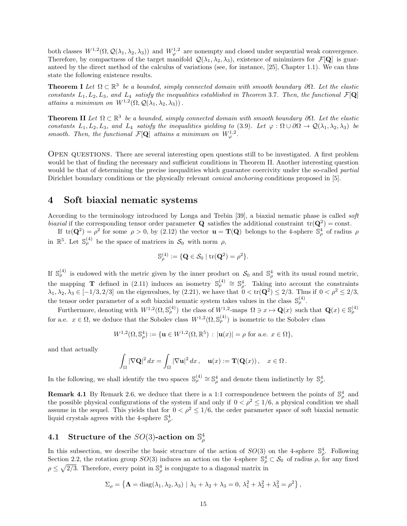both classes  $W^{1,2}(\Omega,\mathcal{Q}(\lambda_1,\lambda_2,\lambda_3))$  and  $W^{1,2}_{\varphi}$  are nonempty and closed under sequential weak convergence. Therefore, by compactness of the target manifold  $\mathcal{Q}(\lambda_1, \lambda_2, \lambda_3)$ , existence of minimizers for  $\mathcal{F}[\mathbf{Q}]$  is guaranteed by the direct method of the calculus of variations (see, for instance, [25], Chapter 1.1). We can thus state the following existence results.

**Theorem I** Let  $\Omega \subset \mathbb{R}^3$  be a bounded, simply connected domain with smooth boundary  $\partial \Omega$ . Let the elastic constants  $L_1, L_2, L_3$ , and  $L_4$  satisfy the inequalities established in Theorem 3.7. Then, the functional  $\mathcal{F}[\mathbf{Q}]$ attains a minimum on  $W^{1,2}(\Omega, \mathcal{Q}(\lambda_1, \lambda_2, \lambda_3))$ .

**Theorem II** Let  $\Omega \subset \mathbb{R}^3$  be a bounded, simply connected domain with smooth boundary  $\partial \Omega$ . Let the elastic constants  $L_1, L_2, L_3$ , and  $L_4$  satisfy the inequalities yielding to (3.9). Let  $\varphi : \Omega \cup \partial \Omega \to \mathcal{Q}(\lambda_1, \lambda_2, \lambda_3)$  be smooth. Then, the functional  $\mathcal{F}[\mathbf{Q}]$  attains a minimum on  $W^{1,2}_{\varphi}$ .

Open questions. There are several interesting open questions still to be investigated. A first problem would be that of finding the necessary and sufficient conditions in Theorem II. Another interesting question would be that of determining the precise inequalities which guarantee coercivity under the so-called *partial* Dirichlet boundary conditions or the physically relevant *conical anchoring* conditions proposed in [5].

## 4 Soft biaxial nematic systems

According to the terminology introduced by Longa and Trebin [39], a biaxial nematic phase is called soft biaxial if the corresponding tensor order parameter **Q** satisfies the additional constraint  $tr(Q^2) = const.$ 

If  $tr(\mathbf{Q}^2) = \rho^2$  for some  $\rho > 0$ , by  $(2.12)$  the vector  $\mathbf{u} = \mathbf{T}(\mathbf{Q})$  belongs to the 4-sphere  $\mathbb{S}^4_\rho$  of radius  $\rho$ in  $\mathbb{R}^5$ . Let  $\mathbb{S}_{\rho}^{(4)}$  be the space of matrices in  $\mathcal{S}_0$  with norm  $\rho$ ,

$$
\mathbb{S}_{\rho}^{(4)} := \{ \mathbf{Q} \in \mathcal{S}_0 \mid \mathrm{tr}(\mathbf{Q}^2) = \rho^2 \}.
$$

If  $\mathbb{S}_{\rho}^{(4)}$  is endowed with the metric given by the inner product on  $\mathcal{S}_0$  and  $\mathbb{S}_{\rho}^4$  with its usual round metric, the mapping **T** defined in (2.11) induces an isometry  $\mathbb{S}_{\rho}^{(4)} \cong \mathbb{S}_{\rho}^4$ . Taking into account the constraints  $\lambda_1, \lambda_2, \lambda_3 \in [-1/3, 2/3]$  on the eigenvalues, by (2.21), we have that  $0 < \text{tr}(\mathbf{Q}^2) \leq 2/3$ . Thus if  $0 < \rho^2 \leq 2/3$ , the tensor order parameter of a soft biaxial nematic system takes values in the class  $\mathbb{S}_{\rho}^{(4)}$ .

Furthermore, denoting with  $W^{1,2}(\Omega, \mathbb{S}_{\rho}^{(4)})$  the class of  $W^{1,2}$ -maps  $\Omega \ni x \mapsto \mathbf{Q}(x)$  such that  $\mathbf{Q}(x) \in \mathbb{S}_{\rho}^{(4)}$ for a.e.  $x \in \Omega$ , we deduce that the Sobolev class  $W^{1,2}(\Omega, \mathbb{S}_{\rho}^{(4)})$  is isometric to the Sobolev class

$$
W^{1,2}(\Omega, \mathbb{S}^4_{\rho}) := \{ \mathbf{u} \in W^{1,2}(\Omega, \mathbb{R}^5) : |\mathbf{u}(x)| = \rho \text{ for a.e. } x \in \Omega \},\
$$

and that actually

$$
\int_{\Omega}|\nabla\mathbf{Q}|^2\,dx=\int_{\Omega}|\nabla\mathbf{u}|^2\,dx\,,\quad \mathbf{u}(x):=\mathbf{T}(\mathbf{Q}(x))\,,\quad x\in\Omega\,.
$$

In the following, we shall identify the two spaces  $\mathbb{S}_{\rho}^{(4)} \cong \mathbb{S}_{\rho}^4$  and denote them indistinctly by  $\mathbb{S}_{\rho}^4$ .

**Remark 4.1** By Remark 2.6, we deduce that there is a 1:1 correspondence between the points of  $\mathbb{S}^4_\rho$  and the possible physical configurations of the system if and only if  $0 < \rho^2 \le 1/6$ , a physical condition we shall assume in the sequel. This yields that for  $0 < \rho^2 \le 1/6$ , the order parameter space of soft biaxial nematic liquid crystals agrees with the 4-sphere  $\mathbb{S}_{\rho}^4$ .

# 4.1 Structure of the  $SO(3)$ -action on  $\mathbb{S}^4_\rho$

In this subsection, we describe the basic structure of the action of  $SO(3)$  on the 4-sphere  $\mathbb{S}_{\rho}^4$ . Following Section 2.2, the rotation group  $SO(3)$  induces an action on the 4-sphere  $\mathbb{S}_{\rho}^4 \subset \mathcal{S}_0$  of radius  $\rho$ , for any fixed  $\rho \leq \sqrt{2/3}$ . Therefore, every point in  $\mathbb{S}_{\rho}^4$  is conjugate to a diagonal matrix in

$$
\Sigma_{\rho} = \left\{ \mathbf{\Lambda} = \text{diag}(\lambda_1, \lambda_2, \lambda_3) \mid \lambda_1 + \lambda_2 + \lambda_3 = 0, \lambda_1^2 + \lambda_2^2 + \lambda_3^2 = \rho^2 \right\},\
$$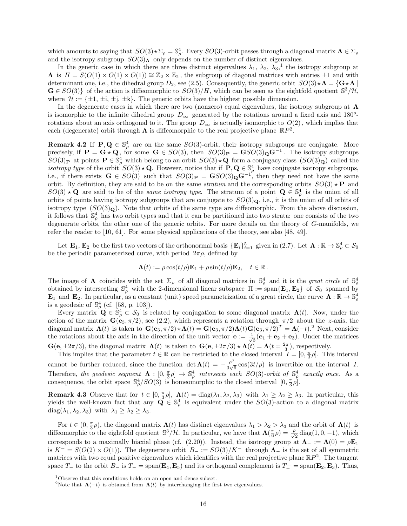which amounts to saying that  $SO(3) \star \Sigma_{\rho} = \mathbb{S}_{\rho}^4$ . Every  $SO(3)$ -orbit passes through a diagonal matrix  $\mathbf{\Lambda} \in \Sigma_{\rho}$ and the isotropy subgroup  $SO(3)_{\Lambda}$  only depends on the number of distinct eigenvalues.

In the generic case in which there are three distinct eigenvalues  $\lambda_1$ ,  $\lambda_2$ ,  $\lambda_3$ ,<sup>1</sup> the isotropy subgroup at  $\Lambda$  is  $H = S(O(1) \times O(1) \times O(1)) \cong \mathbb{Z}_2 \times \mathbb{Z}_2$ , the subgroup of diagonal matrices with entries  $\pm 1$  and with determinant one, i.e., the dihedral group  $D_2$ , see (2.5). Consequently, the generic orbit  $SO(3) \star \Lambda = \{G \star \Lambda \mid G \star \Lambda\}$  $\mathbf{G} \in SO(3)$  of the action is diffeomorphic to  $SO(3)/H$ , which can be seen as the eightfold quotient  $\mathbb{S}^3/\mathcal{H}$ , where  $\mathcal{H} := \{\pm 1, \pm i, \pm j, \pm k\}.$  The generic orbits have the highest possible dimension.

In the degenerate cases in which there are two (nonzero) equal eigenvalues, the isotropy subgroup at  $\Lambda$ is isomorphic to the infinite dihedral group  $D_{\infty}$  generated by the rotations around a fixed axis and 180<sup>o</sup>rotations about an axis orthogonal to it. The group  $D_{\infty}$  is actually isomorphic to  $O(2)$ , which implies that each (degenerate) orbit through  $\Lambda$  is diffeomorphic to the real projective plane  $\mathbb{R}P^2$ .

**Remark 4.2** If  $P, Q \in \mathbb{S}_{\rho}^4$  are on the same  $SO(3)$ -orbit, their isotropy subgroups are conjugate. More precisely, if  $P = G \star Q$ , for some  $G \in SO(3)$ , then  $SO(3)_{P} = GSO(3)_{Q}G^{-1}$ . The isotropy subgroups  $SO(3)_{\mathbf{P}}$  at points  $\mathbf{P} \in \mathbb{S}_{\rho}^4$  which belong to an orbit  $SO(3) \star \mathbf{Q}$  form a conjugacy class  $(SO(3)_{\mathbf{Q}})$  called the *isotropy type* of the orbit  $SO(3) \star \mathbf{Q}$ . However, notice that if  $\mathbf{P}, \mathbf{Q} \in \mathbb{S}_{\rho}^4$  have conjugate isotropy subgroups, i.e., if there exists  $G \in SO(3)$  such that  $SO(3)_P = GSO(3)_Q G^{-1}$ , then they need not have the same orbit. By definition, they are said to be on the same *stratum* and the corresponding orbits  $SO(3) \star \mathbf{P}$  and  $SO(3) \star \mathbf{Q}$  are said to be of the *same isotropy type*. The stratum of a point  $\mathbf{Q} \in \mathbb{S}_{\rho}^4$  is the union of all orbits of points having isotropy subgroups that are conjugate to  $SO(3)<sub>Q</sub>$ , i.e., it is the union of all orbits of isotropy type  $(SO(3)<sub>Q</sub>)$ . Note that orbits of the same type are diffeomorphic. From the above discussion, it follows that  $\mathbb{S}_{\rho}^4$  has two orbit types and that it can be partitioned into two strata: one consists of the two degenerate orbits, the other one of the generic orbits. For more details on the theory of G-manifolds, we refer the reader to [10, 61]. For some physical applications of the theory, see also [48, 49].

Let  $\mathbf{E}_1, \mathbf{E}_2$  be the first two vectors of the orthonormal basis  $\{\mathbf{E}_i\}_{i=1}^5$  given in (2.7). Let  $\mathbf{\Lambda} : \mathbb{R} \to \mathbb{S}_{\rho}^4 \subset \mathcal{S}_0$ be the periodic parameterized curve, with period  $2\pi\rho$ , defined by

$$
\mathbf{\Lambda}(t) := \rho \cos(t/\rho) \mathbf{E}_1 + \rho \sin(t/\rho) \mathbf{E}_2, \quad t \in \mathbb{R}.
$$

The image of  $\Lambda$  coincides with the set  $\Sigma_{\rho}$  of all diagonal matrices in  $\mathbb{S}_{\rho}^{4}$  and it is the *great circle* of  $\mathbb{S}_{\rho}^{4}$  obtained by intersecting  $\mathbb{S}_{\rho}^{4}$  with the 2-dimensional linear subspace  $\P$  $\mathbf{E}_1$  and  $\mathbf{E}_2$ . In particular, as a constant (unit) speed parametrization of a great circle, the curve  $\Lambda : \mathbb{R} \to \mathbb{S}^4_\rho$ is a geodesic of  $\mathbb{S}_{\rho}^4$  (cf. [58, p. 103]).

Every matrix  $\mathbf{Q} \in \mathbb{S}_{\rho}^4 \subset \mathcal{S}_0$  is related by conjugation to some diagonal matrix  $\mathbf{\Lambda}(t)$ . Now, under the action of the matrix  $\mathbf{G}(\mathbf{e}_3, \pi/2)$ , see (2.2), which represents a rotation through  $\pi/2$  about the z-axis, the diagonal matrix  $\mathbf{\Lambda}(t)$  is taken to  $\mathbf{G}(\mathbf{e}_3, \pi/2) \star \mathbf{\Lambda}(t) = \mathbf{G}(\mathbf{e}_3, \pi/2) \mathbf{\Lambda}(t) \mathbf{G}(\mathbf{e}_3, \pi/2)^T = \mathbf{\Lambda}(-t).^2$  Next, consider the rotations about the axis in the direction of the unit vector  $\mathbf{e} := \frac{1}{\sqrt{2}}$  $\frac{1}{3}(\mathbf{e}_1 + \mathbf{e}_2 + \mathbf{e}_3)$ . Under the matrices  $\mathbf{G}(\mathbf{e}, \pm 2\pi/3)$ , the diagonal matrix  $\mathbf{\Lambda}(t)$  is taken to  $\mathbf{G}(\mathbf{e}, \pm 2\pi/3) \star \mathbf{\Lambda}(t) = \mathbf{\Lambda}(t \mp \frac{2\pi}{3})$ , respectively.

This implies that the parameter  $t \in \mathbb{R}$  can be restricted to the closed interval  $I = [0, \frac{\pi}{3}\rho]$ . This interval cannot be further reduced, since the function det  $\Lambda(t) = -\frac{\rho^3}{2\sqrt{t}}$  $\frac{\rho^{\circ}}{3\sqrt{6}}$  cos(3*t/* $\rho$ ) is invertible on the interval *I*. Therefore, the geodesic segment  $\Lambda : [0, \frac{\pi}{3} \rho] \to \mathbb{S}^4_\rho$  intersects each SO(3)-orbit of  $\mathbb{S}^4_\rho$  exactly once. As a consequence, the orbit space  $\mathbb{S}_{\rho}^4/SO(3)$  is homeomorphic to the closed interval  $[0, \frac{\pi}{3}\rho]$ .

**Remark 4.3** Observe that for  $t \in [0, \frac{\pi}{3}\rho]$ ,  $\Lambda(t) = \text{diag}(\lambda_1, \lambda_2, \lambda_3)$  with  $\lambda_1 \geq \lambda_2 \geq \lambda_3$ . In particular, this yields the well-known fact that any  $\mathbf{Q} \in \mathbb{S}_{\rho}^4$  is equivalent under the  $SO(3)$ -action to a diagonal matrix  $diag(\lambda_1, \lambda_2, \lambda_3)$  with  $\lambda_1 \geq \lambda_2 \geq \lambda_3$ .

For  $t \in (0, \frac{\pi}{3}\rho)$ , the diagonal matrix  $\Lambda(t)$  has distinct eigenvalues  $\lambda_1 > \lambda_2 > \lambda_3$  and the orbit of  $\Lambda(t)$  is diffeomorphic to the eightfold quotient  $\mathbb{S}^3/\mathcal{H}$ . In particular, we have that  $\Lambda(\frac{\pi}{6}\rho) = \frac{\rho}{\sqrt{2}}$  $\frac{1}{2}$  diag(1, 0, -1), which corresponds to a maximally biaxial phase (cf. (2.20)). Instead, the isotropy group at  $\Lambda_- := \Lambda(0) = \rho \mathbf{E}_1$ is  $K^- = S(O(2) \times O(1))$ . The degenerate orbit  $B_- := SO(3)/K^-$  through  $\Lambda_-$  is the set of all symmetric matrices with two equal positive eigenvalues which identifies with the real projective plane  $\mathbb{R}P^2$ . The tangent space T<sub>−</sub> to the orbit  $B_$  is  $T_$  = span( $\mathbf{E}_4$ ,  $\mathbf{E}_5$ ) and its orthogonal complement is  $T_$  = span( $\mathbf{E}_2$ ,  $\mathbf{E}_3$ ). Thus,

<sup>1</sup>Observe that this conditions holds on an open and dense subset.

<sup>&</sup>lt;sup>2</sup>Note that  $\Lambda(-t)$  is obtained from  $\Lambda(t)$  by interchanging the first two eigenvalues.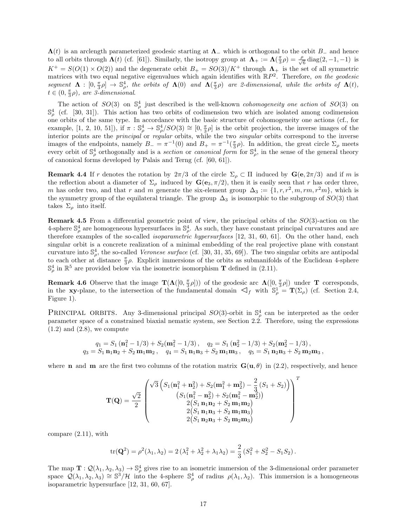$\Lambda(t)$  is an arclength parameterized geodesic starting at  $\Lambda_{-}$  which is orthogonal to the orbit  $B_{-}$  and hence to all orbits through  $\Lambda(t)$  (cf. [61]). Similarly, the isotropy group at  $\Lambda_+ := \Lambda(\frac{\pi}{3}\rho) = \frac{\rho}{\sqrt{3}}$  $\frac{1}{6}$  diag(2, -1, -1) is  $K^+ = S(O(1) \times O(2))$  and the degenerate orbit  $B_+ = SO(3)/K^+$  through  $\Lambda_+$  is the set of all symmetric matrices with two equal negative eigenvalues which again identifies with  $\mathbb{R}P^2$ . Therefore, on the geodesic segment  $\Lambda : [0, \frac{\pi}{3}\rho] \to \mathbb{S}^4_\rho$ , the orbits of  $\Lambda(0)$  and  $\Lambda(\frac{\pi}{3}\rho)$  are 2-dimensional, while the orbits of  $\Lambda(t)$ ,  $t \in (0, \frac{\pi}{3}\rho)$ , are 3-dimensional.

The action of  $SO(3)$  on  $\mathbb{S}^4_\rho$  just described is the well-known *cohomogeneity one action* of  $SO(3)$  on  $\mathbb{S}_{\rho}^{4}$  (cf. [30, 31]). This action has two orbits of codimension two which are isolated among codimension one orbits of the same type. In accordance with the basic structure of cohomogeneity one actions (cf., for example, [1, 2, 10, 51]), if  $\pi : \mathbb{S}_{\rho}^4 \to \mathbb{S}_{\rho}^4/SO(3) \cong [0, \frac{\pi}{3}\rho]$  is the orbit projection, the inverse images of the interior points are the principal or regular orbits, while the two singular orbits correspond to the inverse images of the endpoints, namely  $B_-\equiv \pi^{-1}(0)$  and  $B_+\equiv \pi^{-1}(\frac{\pi}{3}\rho)$ . In addition, the great circle  $\Sigma_\rho$  meets every orbit of  $\mathbb{S}^4_\rho$  orthogonally and is a *section* or *canonical form* for  $\mathbb{S}^4_\rho$ , in the sense of the general theory of canonical forms developed by Palais and Terng (cf. [60, 61]).

**Remark 4.4** If r denotes the rotation by  $2\pi/3$  of the circle  $\Sigma_{\rho} \subset \Pi$  induced by  $\mathbf{G}(\mathbf{e}, 2\pi/3)$  and if m is the reflection about a diameter of  $\Sigma_\rho$  induced by  $\mathbf{G}(\mathbf{e}_3, \pi/2)$ , then it is easily seen that r has order three, m has order two, and that r and m generate the six-element group  $\Delta_3 := \{1, r, r^2, m, rm, r^2m\}$ , which is the symmetry group of the equilateral triangle. The group  $\Delta_3$  is isomorphic to the subgroup of  $SO(3)$  that takes  $\Sigma_{\rho}$  into itself.

**Remark 4.5** From a differential geometric point of view, the principal orbits of the  $SO(3)$ -action on the 4-sphere  $\mathbb{S}_{\rho}^4$  are homogeneous hypersurfaces in  $\mathbb{S}_{\rho}^4$ . As such, they have constant principal curvatures and are therefore examples of the so-called isoparametric hypersurfaces [12, 31, 60, 61]. On the other hand, each singular orbit is a concrete realization of a minimal embedding of the real projective plane with constant curvature into  $\mathbb{S}_{\rho}^4$ , the so-called *Veronese surface* (cf. [30, 31, 35, 69]). The two singular orbits are antipodal to each other at distance  $\frac{\pi}{3}\rho$ . Explicit immersions of the orbits as submanifolds of the Euclidean 4-sphere  $\mathbb{S}_{\rho}^{4}$  in  $\mathbb{R}^{5}$  are provided below via the isometric isomorphism **T** defined in (2.11).

**Remark 4.6** Observe that the image  $\mathbf{T}(\mathbf{\Lambda}([0, \frac{\pi}{3}\rho]))$  of the geodesic arc  $\mathbf{\Lambda}([0, \frac{\pi}{3}\rho])$  under **T** corresponds, **i** the **xy**-plane, to the intersection of the fundamental domain  $\mathcal{A}_f$  with  $\mathbb{S}_\rho^1 = \mathbf{T}(\Sigma_\rho)$  (cf. Section 2.4, Figure 1).

PRINCIPAL ORBITS. Any 3-dimensional principal  $SO(3)$ -orbit in  $\mathbb{S}_{\rho}^4$  can be interpreted as the order parameter space of a constrained biaxial nematic system, see Section 2.2. Therefore, using the expressions  $(1.2)$  and  $(2.8)$ , we compute

$$
q_1 = S_1 \left( \mathbf{n}_1^2 - 1/3 \right) + S_2 \left( \mathbf{m}_1^2 - 1/3 \right), \quad q_2 = S_1 \left( \mathbf{n}_2^2 - 1/3 \right) + S_2 \left( \mathbf{m}_2^2 - 1/3 \right),
$$
  
\n
$$
q_3 = S_1 \mathbf{n}_1 \mathbf{n}_2 + S_2 \mathbf{m}_1 \mathbf{m}_2, \quad q_4 = S_1 \mathbf{n}_1 \mathbf{n}_3 + S_2 \mathbf{m}_1 \mathbf{m}_3, \quad q_5 = S_1 \mathbf{n}_2 \mathbf{n}_3 + S_2 \mathbf{m}_2 \mathbf{m}_3,
$$

where **n** and **m** are the first two columns of the rotation matrix  $\mathbf{G}(\mathbf{u}, \theta)$  in (2.2), respectively, and hence

$$
\mathbf{T}(\mathbf{Q}) = \frac{\sqrt{2}}{2} \begin{pmatrix} \sqrt{3} \left( S_1(\mathbf{n}_1^2 + \mathbf{n}_2^2) + S_2(\mathbf{m}_1^2 + \mathbf{m}_2^2) - \frac{2}{3} (S_1 + S_2) \right) \\ (S_1(\mathbf{n}_1^2 - \mathbf{n}_2^2) + S_2(\mathbf{m}_1^2 - \mathbf{m}_2^2)) \\ 2 (S_1 \mathbf{n}_1 \mathbf{n}_2 + S_2 \mathbf{m}_1 \mathbf{m}_2) \\ 2 (S_1 \mathbf{n}_1 \mathbf{n}_3 + S_2 \mathbf{m}_1 \mathbf{m}_3) \\ 2 (S_1 \mathbf{n}_2 \mathbf{n}_3 + S_2 \mathbf{m}_2 \mathbf{m}_3) \end{pmatrix}^T
$$

compare (2.11), with

$$
\text{tr}(\mathbf{Q}^2) = \rho^2(\lambda_1, \lambda_2) = 2(\lambda_1^2 + \lambda_2^2 + \lambda_1 \lambda_2) = \frac{2}{3}(S_1^2 + S_2^2 - S_1 S_2).
$$

The map  $\mathbf{T}:\mathcal{Q}(\lambda_1,\lambda_2,\lambda_3)\to\mathbb{S}^4_\rho$  gives rise to an isometric immersion of the 3-dimensional order parameter space  $\mathcal{Q}(\lambda_1, \lambda_2, \lambda_3) \cong \mathbb{S}^3/\mathcal{H}$  into the 4-sphere  $\mathbb{S}^4_\rho$  of radius  $\rho(\lambda_1, \lambda_2)$ . This immersion is a homogeneous isoparametric hypersurface [12, 31, 60, 67].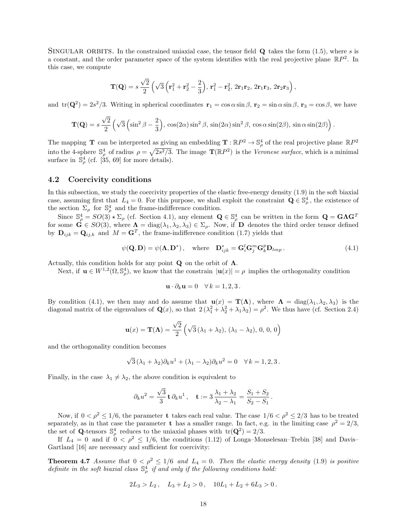SINGULAR ORBITS. In the constrained uniaxial case, the tensor field  $\bf{Q}$  takes the form (1.5), where s is a constant, and the order parameter space of the system identifies with the real projective plane  $\mathbb{R}P^2$ . In this case, we compute

$$
\mathbf{T}(\mathbf{Q})=s\,\frac{\sqrt{2}}{2}\left(\sqrt{3}\left(\mathbf{r}_{1}^{2}+\mathbf{r}_{2}^{2}-\frac{2}{3}\right),\,\mathbf{r}_{1}^{2}-\mathbf{r}_{2}^{2},\,2\mathbf{r}_{1}\mathbf{r}_{2},\,2\mathbf{r}_{1}\mathbf{r}_{3},\,2\mathbf{r}_{2}\mathbf{r}_{3}\right),
$$

and  $tr(\mathbf{Q}^2) = 2s^2/3$ . Writing in spherical coordinates  $\mathbf{r}_1 = \cos \alpha \sin \beta$ ,  $\mathbf{r}_2 = \sin \alpha \sin \beta$ ,  $\mathbf{r}_3 = \cos \beta$ , we have

$$
\mathbf{T}(\mathbf{Q}) = s \frac{\sqrt{2}}{2} \left( \sqrt{3} \left( \sin^2 \beta - \frac{2}{3} \right), \cos(2\alpha) \sin^2 \beta, \sin(2\alpha) \sin^2 \beta, \cos \alpha \sin(2\beta), \sin \alpha \sin(2\beta) \right).
$$

The mapping **T** can be interpreted as giving an embedding **T** :  $\mathbb{R}P^2 \to \mathbb{S}^4_\rho$  of the real projective plane  $\mathbb{R}P^2$ into the 4-sphere  $\mathbb{S}_{\rho}^4$  of radius  $\rho = \sqrt{2s^2/3}$ . The image  $\mathbf{T}(\mathbb{R}P^2)$  is the *Veronese surface*, which is a minimal surface in  $\mathbb{S}^4_\rho$  (cf. [35, 69] for more details).

### 4.2 Coercivity conditions

In this subsection, we study the coercivity properties of the elastic free-energy density (1.9) in the soft biaxial case, assuming first that  $L_4 = 0$ . For this purpose, we shall exploit the constraint  $\mathbf{Q} \in \mathbb{S}_{\rho}^4$ , the existence of the section  $\Sigma_{\rho}$  for  $\mathbb{S}_{\rho}^{4}$  and the frame-indifference condition.

Since  $\mathbb{S}_{\rho}^4 = SO(3) \star \Sigma_{\rho}$  (cf. Section 4.1), any element  $\mathbf{Q} \in \mathbb{S}_{\rho}^4$  can be written in the form  $\mathbf{Q} = \mathbf{G} \mathbf{\Lambda} \mathbf{G}^T$ for some  $\mathbf{G} \in SO(3)$ , where  $\mathbf{\Lambda} = \text{diag}(\lambda_1, \lambda_2, \lambda_3) \in \Sigma_\rho$ . Now, if  $\mathbf{D}$  denotes the third order tensor defined by  $\mathbf{D}_{ijk} = \mathbf{Q}_{ij,k}$  and  $M = \mathbf{G}^T$ , the frame-indifference condition (1.7) yields that

$$
\psi(\mathbf{Q}, \mathbf{D}) = \psi(\mathbf{\Lambda}, \mathbf{D}^*), \quad \text{where} \quad \mathbf{D}_{ijk}^* = \mathbf{G}_i^l \mathbf{G}_j^m \mathbf{G}_k^p \mathbf{D}_{lmp}.
$$
\n(4.1)

Actually, this condition holds for any point  $Q$  on the orbit of  $\Lambda$ .

Next, if  $\mathbf{u} \in W^{1,2}(\Omega, \mathbb{S}^4_\rho)$ , we know that the constrain  $|\mathbf{u}(x)| = \rho$  implies the orthogonality condition

$$
\mathbf{u} \cdot \partial_k \mathbf{u} = 0 \quad \forall \, k = 1, 2, 3 \, .
$$

By condition (4.1), we then may and do assume that  $\mathbf{u}(x) = \mathbf{T}(\Lambda)$ , where  $\Lambda = \text{diag}(\lambda_1, \lambda_2, \lambda_3)$  is the diagonal matrix of the eigenvalues of  $\mathbf{Q}(x)$ , so that  $2(\lambda_1^2 + \lambda_2^2 + \lambda_1\lambda_2) = \rho^2$ . We thus have (cf. Section 2.4)

$$
\mathbf{u}(x) = \mathbf{T}(\mathbf{\Lambda}) = \frac{\sqrt{2}}{2} \left( \sqrt{3} \left( \lambda_1 + \lambda_2 \right), \left( \lambda_1 - \lambda_2 \right), 0, 0, 0 \right)
$$

and the orthogonality condition becomes

$$
\sqrt{3}(\lambda_1 + \lambda_2)\partial_k u^1 + (\lambda_1 - \lambda_2)\partial_k u^2 = 0 \quad \forall k = 1, 2, 3.
$$

Finally, in the case  $\lambda_1 \neq \lambda_2$ , the above condition is equivalent to

$$
\partial_k u^2 = \frac{\sqrt{3}}{3} \mathbf{t} \, \partial_k u^1, \quad \mathbf{t} := 3 \, \frac{\lambda_1 + \lambda_2}{\lambda_2 - \lambda_1} = \frac{S_1 + S_2}{S_2 - S_1}.
$$

Now, if  $0 < \rho^2 \le 1/6$ , the parameter t takes each real value. The case  $1/6 < \rho^2 \le 2/3$  has to be treated separately, as in that case the parameter **t** has a smaller range. In fact, e.g. in the limiting case  $\rho^2 = 2/3$ , the set of **Q**-tensors  $\mathbb{S}_{\rho}^4$  reduces to the uniaxial phases with  $tr(\mathbf{Q}^2) = 2/3$ .

If  $L_4 = 0$  and if  $0 < \rho^2 \le 1/6$ , the conditions (1.12) of Longa–Monselesan–Trebin [38] and Davis– Gartland [16] are necessary and sufficient for coercivity:

**Theorem 4.7** Assume that  $0 < \rho^2 \le 1/6$  and  $L_4 = 0$ . Then the elastic energy density (1.9) is positive definite in the soft biaxial class  $\mathbb{S}_{\rho}^4$  if and only if the following conditions hold:

$$
2L_3 > L_2, \quad L_3 + L_2 > 0, \quad 10L_1 + L_2 + 6L_3 > 0.
$$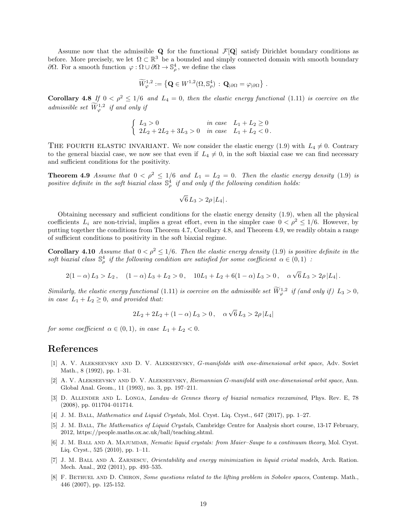Assume now that the admissible  $Q$  for the functional  $\mathcal{F}[Q]$  satisfy Dirichlet boundary conditions as before. More precisely, we let  $\Omega \subset \mathbb{R}^3$  be a bounded and simply connected domain with smooth boundary  $\partial Ω$ . For a smooth function  $\varphi : Ω ∪ ∂Ω → ℑ<sub>ρ</sub><sup>4</sup>$ , we define the class

$$
\widetilde{W}^{1,2}_{\varphi} := \left\{ \mathbf{Q} \in W^{1,2}(\Omega,\mathbb{S}^4_{\rho}) \, : \, \mathbf{Q}_{|\partial\Omega} = \varphi_{|\partial\Omega} \right\} \, .
$$

**Corollary 4.8** If  $0 < \rho^2 \le 1/6$  and  $L_4 = 0$ , then the elastic energy functional (1.11) is coercive on the admissible set  $\widetilde{W}^{1,2}_\varphi$  if and only if

$$
\begin{cases}\nL_3 > 0 & \text{in case} \quad L_1 + L_2 \ge 0 \\
2L_2 + 2L_2 + 3L_3 > 0 & \text{in case} \quad L_1 + L_2 < 0.\n\end{cases}
$$

THE FOURTH ELASTIC INVARIANT. We now consider the elastic energy (1.9) with  $L_4 \neq 0$ . Contrary to the general biaxial case, we now see that even if  $L_4 \neq 0$ , in the soft biaxial case we can find necessary and sufficient conditions for the positivity.

**Theorem 4.9** Assume that  $0 < \rho^2 \le 1/6$  and  $L_1 = L_2 = 0$ . Then the elastic energy density (1.9) is positive definite in the soft biaxial class  $\mathbb{S}_{\rho}^4$  if and only if the following condition holds:

$$
\sqrt{6}\,L_3 > 2\rho\,|L_4|.
$$

Obtaining necessary and sufficient conditions for the elastic energy density (1.9), when all the physical coefficients  $L_i$  are non-trivial, implies a great effort, even in the simpler case  $0 < \rho^2 \le 1/6$ . However, by putting together the conditions from Theorem 4.7, Corollary 4.8, and Theorem 4.9, we readily obtain a range of sufficient conditions to positivity in the soft biaxial regime.

**Corollary 4.10** Assume that  $0 < \rho^2 \le 1/6$ . Then the elastic energy density (1.9) is positive definite in the soft biaxial class  $\mathbb{S}_{\rho}^4$  if the following condition are satisfied for some coefficient  $\alpha \in (0,1)$ :

$$
2(1-\alpha) L_3 > L_2, \quad (1-\alpha) L_3 + L_2 > 0, \quad 10L_1 + L_2 + 6(1-\alpha) L_3 > 0, \quad \alpha\sqrt{6} L_3 > 2\rho |L_4|.
$$

Similarly, the elastic energy functional (1.11) is coercive on the admissible set  $\widetilde{W}_{\varphi}^{1,2}$  if (and only if)  $L_3 > 0$ , in case  $L_1 + L_2 \geq 0$ , and provided that:

$$
2L_2 + 2L_2 + (1 - \alpha) L_3 > 0, \quad \alpha \sqrt{6} L_3 > 2\rho |L_4|
$$

for some coefficient  $\alpha \in (0,1)$ , in case  $L_1 + L_2 < 0$ .

## References

- [1] A. V. Alekseevsky and D. V. Alekseevsky, G-manifolds with one-dimensional orbit space, Adv. Soviet Math., 8 (1992), pp. 1–31.
- [2] A. V. Alekseevsky and D. V. Alekseevsky, Riemannian G-manifold with one-dimensional orbit space, Ann. Global Anal. Geom., 11 (1993), no. 3, pp. 197–211.
- [3] D. ALLENDER AND L. LONGA, Landau–de Gennes theory of biaxial nematics reexamined, Phys. Rev. E, 78 (2008), pp. 011704–011714.
- [4] J. M. Ball, Mathematics and Liquid Crystals, Mol. Cryst. Liq. Cryst., 647 (2017), pp. 1–27.
- [5] J. M. Ball, The Mathematics of Liquid Crystals, Cambridge Centre for Analysis short course, 13-17 February, 2012, https://people.maths.ox.ac.uk/ball/teaching.shtml.
- [6] J. M. BALL AND A. MAJUMDAR, Nematic liquid crystals: from Maier–Saupe to a continuum theory, Mol. Cryst. Liq. Cryst., 525 (2010), pp. 1–11.
- [7] J. M. BALL AND A. ZARNESCU, Orientability and energy minimization in liquid cristal models, Arch. Ration. Mech. Anal., 202 (2011), pp. 493–535.
- [8] F. BETHUEL AND D. CHIRON, Some questions related to the lifting problem in Sobolev spaces, Contemp. Math., 446 (2007), pp. 125-152.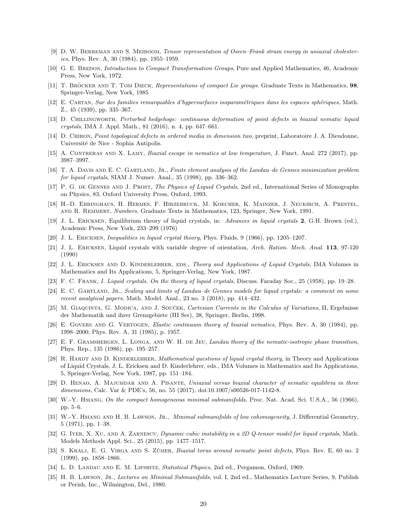- [9] D. W. BERREMAN AND S. MEIBOOM, Tensor representation of Oseen–Frank strain energy in uniaxial cholesterics, Phys. Rev. A, 30 (1984), pp. 1955–1959.
- [10] G. E. BREDON, *Introduction to Compact Transformation Groups*, Pure and Applied Mathematics, 46, Academic Press, New York, 1972.
- [11] T. BRÖCKER AND T. TOM DIECK, Representations of compact Lie groups. Graduate Texts in Mathematics, 98, Springer-Verlag, New York, 1985
- [12] E. Cartan, Sur des families remarquables d'hypersurfaces isoparam´etriques dans les espaces sph´eriques, Math. Z., 45 (1939), pp. 335–367.
- [13] D. Chillingworth, Perturbed hedgehogs: continuous deformation of point defects in biaxial nematic liquid crystals, IMA J. Appl. Math., 81 (2016), n. 4, pp. 647–661.
- [14] D. Chiron, Point topological defects in ordered media in dimension two, preprint, Laboratoire J. A. Dieudonne, Université de Nice - Sophia Antipolis.
- [15] A. CONTRERAS AND X. LAMY, *Biaxial escape in nematics at low temperature*, J. Funct. Anal. 272 (2017), pp. 3987–3997.
- [16] T. A. Davis and E. C. Gartland, Jr., Finite element analysis of the Landau–de Gennes minimization problem for liquid crystals, SIAM J. Numer. Anal., 35 (1998), pp. 336–362.
- [17] P. G. DE GENNES AND J. PROST, The Physics of Liquid Crystals, 2nd ed., International Series of Monographs on Physics, 83, Oxford University Press, Oxford, 1993.
- [18] H.-D. Ebbinghaus, H. Hermes, F. Hirzebruck, M. Koecher, K. Mainzer, J. Neukirch, A. Prestel, and R. Remmert, Numbers, Graduate Texts in Mathematics, 123, Springer, New York, 1991.
- [19] J. L. Ericksen, Equilibrium theory of liquid crystals, in: Advances in liquid crystals 2, G.H. Brown (ed.), Academic Press, New York, 233–299 (1976)
- [20] J. L. Ericksen, Inequalities in liquid crystal theory, Phys. Fluids, 9 (1966), pp. 1205–1207.
- [21] J. L. Ericksen, Liquid crystals with variable degree of orientation, Arch. Ration. Mech. Anal. 113, 97-120 (1990)
- [22] J. L. ERICKSEN AND D. KINDERLEHRER, EDS., Theory and Applications of Liquid Crystals, IMA Volumes in Mathematics and Its Applications, 5, Springer-Verlag, New York, 1987.
- [23] F. C. Frank, I. Liquid crystals. On the theory of liquid crystals, Discuss. Faraday Soc., 25 (1958), pp. 19–28.
- [24] E. C. GARTLAND, JR., Scaling and limits of Landau–de Gennes models for liquid crystals: a comment on some recent analytical papers, Math. Model. Anal., 23 no. 3 (2018), pp. 414–432.
- [25] M. GIAQUINTA, G. MODICA, AND J. SOUCEK, Cartesian Currents in the Calculus of Variations, II, Ergebnisse der Mathematik und ihrer Grenzgebiete (III Ser), 38, Springer, Berlin, 1998.
- [26] E. GOVERS AND G. VERTOGEN, Elastic continuum theory of biaxial nematics, Phys. Rev. A, 30 (1984), pp. 1998–2000; Phys. Rev. A, 31 (1985), p. 1957.
- [27] E. F. GRAMSBERGEN, L. LONGA, AND W. H. DE JEU, Landau theory of the nematic-isotropic phase transition. Phys. Rep., 135 (1986), pp. 195–257.
- [28] R. HARDT AND D. KINDERLEHRER, Mathematical questions of liquid crystal theory, in Theory and Applications of Liquid Crystals, J. L. Ericksen and D. Kinderlehrer, eds., IMA Volumes in Mathematics and Its Applications, 5, Springer-Verlag, New York, 1987, pp. 151–184.
- [29] D. Henao, A. Majumdar and A. Pisante, Uniaxial versus biaxial character of nematic equilibria in three dimensions, Calc. Var & PDE's, 56, no. 55 (2017), doi:10.1007/s00526-017-1142-8.
- [30] W.-Y. Hsiang, On the compact homogeneous minimal submanifolds, Proc. Nat. Acad. Sci. U.S.A., 56 (1966), pp. 5–6.
- [31] W.-Y. HSIANG AND H. B. LAWSON, JR., Minimal submanifolds of low cohomogeneity, J. Differential Geometry, 5 (1971), pp. 1–38.
- [32] G. IYER, X. XU, AND A. ZARNESCU, Dynamic cubic instability in a 2D Q-tensor model for liquid crystals, Math. Models Methods Appl. Sci., 25 (2015), pp. 1477–1517.
- [33] S. KRALJ, E. G. VIRGA AND S. ZŬMER, *Biaxial torus around nematic point defects*, Phys. Rev. E, 60 no. 2 (1999), pp. 1858–1866.
- [34] L. D. LANDAU AND E. M. LIFSHITZ, Statistical Physics, 2nd ed., Pergamon, Oxford, 1969.
- [35] H. B. LAWSON, JR., Lectures on Minimal Submanifolds, vol. I, 2nd ed., Mathematics Lecture Series, 9, Publish or Perish, Inc., Wilmington, Del., 1980.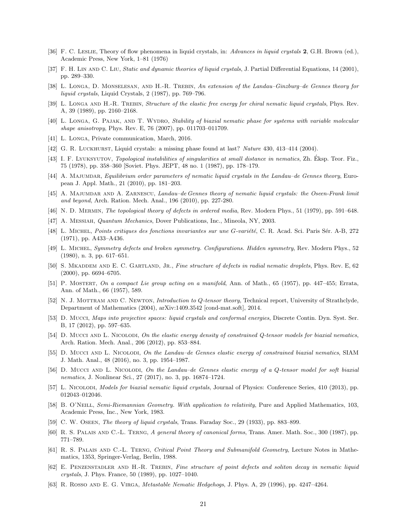- [36] F. C. Leslie, Theory of flow phenomena in liquid crystals, in: Advances in liquid crystals 2, G.H. Brown (ed.), Academic Press, New York, 1–81 (1976)
- [37] F. H. LIN AND C. LIU, Static and dynamic theories of liquid crystals, J. Partial Differential Equations, 14 (2001), pp. 289–330.
- [38] L. LONGA, D. MONSELESAN, AND H.-R. TREBIN, An extension of the Landau–Ginzburg–de Gennes theory for liquid crystals, Liquid Crystals, 2 (1987), pp. 769–796.
- [39] L. LONGA AND H.-R. TREBIN, Structure of the elastic free energy for chiral nematic liquid crystals, Phys. Rev. A, 39 (1989), pp. 2160–2168.
- [40] L. LONGA, G. PAJAK, AND T. WYDRO, Stability of biaxial nematic phase for systems with variable molecular shape anisotropy, Phys. Rev. E, 76 (2007), pp. 011703–011709.
- [41] L. LONGA, Private communication, March, 2016.
- [42] G. R. Luckhurst, Liquid crystals: a missing phase found at last? Nature 430, 413–414 (2004).
- [43] I. F. LYUKSYUTOV, Topological instabilities of singularities at small distance in nematics, Zh. Eksp. Teor. Fiz., 75 (1978), pp. 358–360 [Soviet. Phys. JEPT, 48 no. 1 (1987), pp. 178–179.
- [44] A. MAJUMDAR, Equilibrium order parameters of nematic liquid crystals in the Landau–de Gennes theory, European J. Appl. Math., 21 (2010), pp. 181–203.
- [45] A. Majumdar and A. Zarnescu, Landau–de Gennes theory of nematic liquid crystals: the Oseen-Frank limit and beyond, Arch. Ration. Mech. Anal., 196 (2010), pp. 227-280.
- [46] N. D. MERMIN, The topological theory of defects in ordered media, Rev. Modern Phys., 51 (1979), pp. 591–648.
- [47] A. Messiah, Quantum Mechanics, Dover Publications, Inc., Mineola, NY, 2003.
- [48] L. MICHEL, Points critiques des fonctions invariantes sur une G-variété, C. R. Acad. Sci. Paris Sér. A-B, 272 (1971), pp. A433–A436.
- [49] L. Michel, Symmetry defects and broken symmetry. Configurations. Hidden symmetry, Rev. Modern Phys., 52 (1980), n. 3, pp. 617–651.
- [50] S. MKADDEM AND E. C. GARTLAND, JR., Fine structure of defects in radial nematic droplets, Phys. Rev. E, 62 (2000), pp. 6694–6705.
- [51] P. MOSTERT, On a compact Lie group acting on a manifold, Ann. of Math., 65 (1957), pp. 447–455; Errata, Ann. of Math., 66 (1957), 589.
- [52] N. J. MOTTRAM AND C. NEWTON, *Introduction to Q-tensor theory*, Technical report, University of Strathclyde, Department of Mathematics (2004), arXiv:1409.3542 [cond-mat.soft], 2014.
- [53] D. Mucci, Maps into projective spaces: liquid crystals and conformal energies, Discrete Contin. Dyn. Syst. Ser. B, 17 (2012), pp. 597–635.
- [54] D. Mucci AND L. Nicolodi, On the elastic energy density of constrained Q-tensor models for biaxial nematics, Arch. Ration. Mech. Anal., 206 (2012), pp. 853–884.
- [55] D. MUCCI AND L. NICOLODI, On the Landau-de Gennes elastic energy of constrained biaxial nematics, SIAM J. Math. Anal., 48 (2016), no. 3, pp. 1954–1987.
- [56] D. Mucci AND L. NICOLODI, On the Landau–de Gennes elastic energy of a Q-tensor model for soft biaxial nematics, J. Nonlinear Sci., 27 (2017), no. 3, pp. 16874–1724.
- [57] L. NICOLODI, Models for biaxial nematic liquid crystals, Journal of Physics: Conference Series, 410 (2013), pp. 012043–012046.
- [58] B. O'NEILL, Semi-Riemannian Geometry. With application to relativity, Pure and Applied Mathematics, 103, Academic Press, Inc., New York, 1983.
- [59] C. W. Oseen, The theory of liquid crystals, Trans. Faraday Soc., 29 (1933), pp. 883–899.
- [60] R. S. PALAIS AND C.-L. TERNG, A general theory of canonical forms, Trans. Amer. Math. Soc., 300 (1987), pp. 771–789.
- [61] R. S. PALAIS AND C.-L. TERNG, Critical Point Theory and Submanifold Geometry, Lecture Notes in Mathematics, 1353, Springer-Verlag, Berlin, 1988.
- [62] E. Penzenstadler and H.-R. Trebin, Fine structure of point defects and soliton decay in nematic liquid crystals, J. Phys. France, 50 (1989), pp. 1027–1040.
- [63] R. ROSSO AND E. G. VIRGA, *Metastable Nematic Hedgehogs*, J. Phys. A, 29 (1996), pp. 4247–4264.